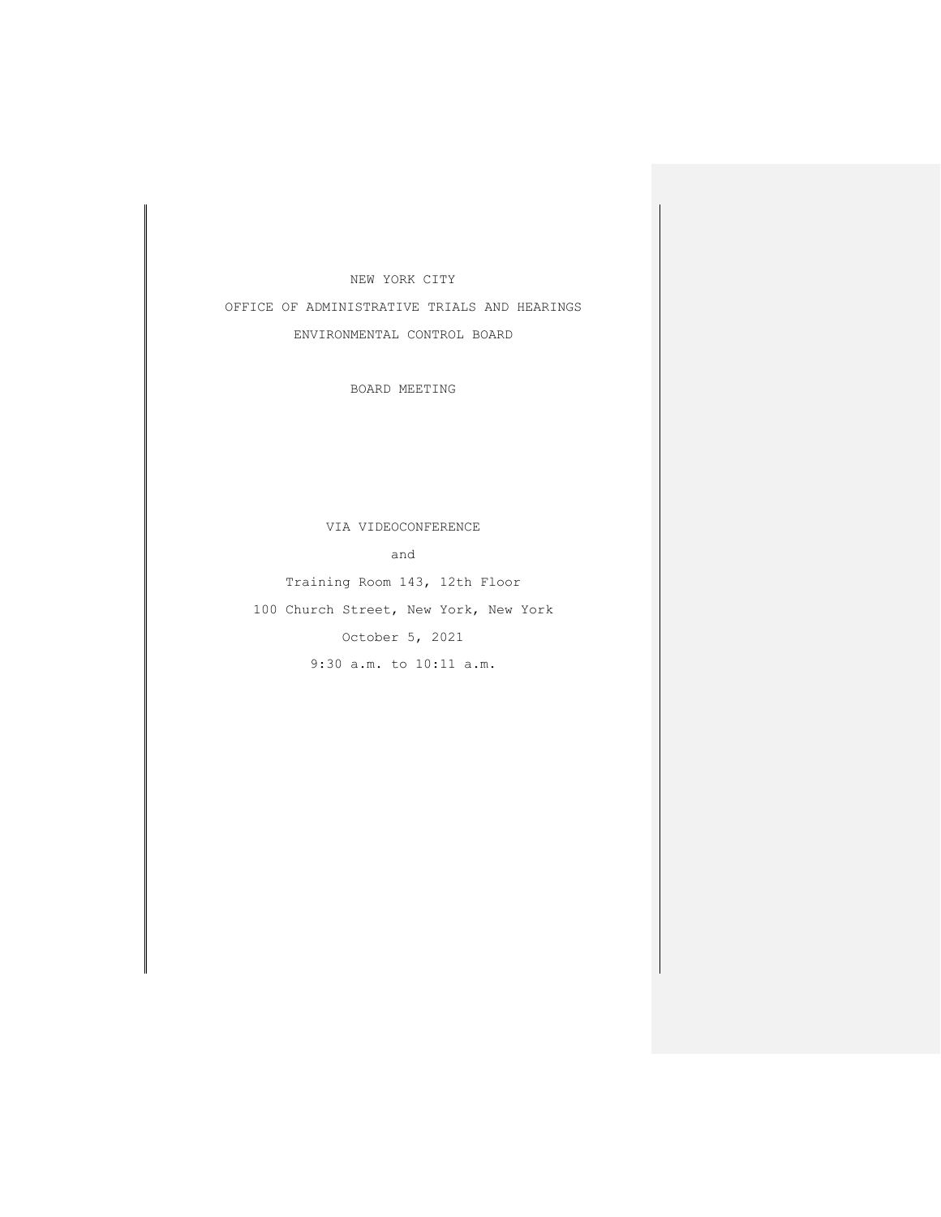## NEW YORK CITY

OFFICE OF ADMINISTRATIVE TRIALS AND HEARINGS ENVIRONMENTAL CONTROL BOARD

BOARD MEETING

## VIA VIDEOCONFERENCE

and

Training Room 143, 12th Floor

100 Church Street, New York, New York

October 5, 2021

9:30 a.m. to 10:11 a.m.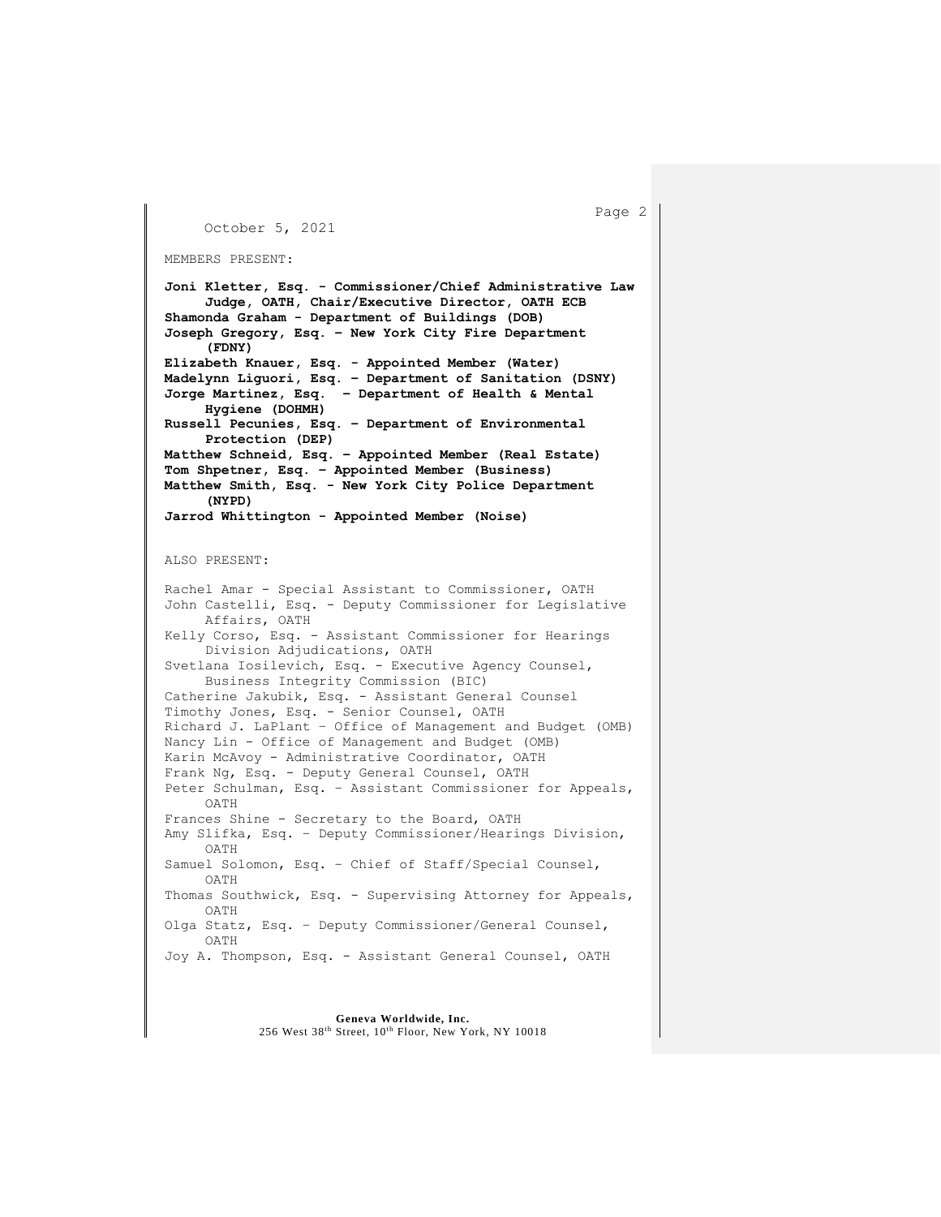October 5, 2021

```
MEMBERS PRESENT:
```

```
Joni Kletter, Esq. - Commissioner/Chief Administrative Law
     Judge, OATH, Chair/Executive Director, OATH ECB
Shamonda Graham - Department of Buildings (DOB)
Joseph Gregory, Esq. – New York City Fire Department 
     (FDNY)
Elizabeth Knauer, Esq. - Appointed Member (Water)
Madelynn Liguori, Esq. – Department of Sanitation (DSNY)
Jorge Martinez, Esq. – Department of Health & Mental
     Hygiene (DOHMH)
Russell Pecunies, Esq. – Department of Environmental 
     Protection (DEP)
Matthew Schneid, Esq. – Appointed Member (Real Estate)
Tom Shpetner, Esq. – Appointed Member (Business) 
Matthew Smith, Esq. - New York City Police Department 
    (NYPD)
Jarrod Whittington - Appointed Member (Noise)
ALSO PRESENT:
Rachel Amar - Special Assistant to Commissioner, OATH
John Castelli, Esq. - Deputy Commissioner for Legislative 
    Affairs, OATH
Kelly Corso, Esq. - Assistant Commissioner for Hearings
     Division Adjudications, OATH
Svetlana Iosilevich, Esq. - Executive Agency Counsel,
     Business Integrity Commission (BIC)
Catherine Jakubik, Esq. - Assistant General Counsel
Timothy Jones, Esq. - Senior Counsel, OATH
Richard J. LaPlant – Office of Management and Budget (OMB)
Nancy Lin - Office of Management and Budget (OMB)
Karin McAvoy - Administrative Coordinator, OATH
Frank Ng, Esq. - Deputy General Counsel, OATH
Peter Schulman, Esq. – Assistant Commissioner for Appeals, 
     OATH
Frances Shine - Secretary to the Board, OATH
Amy Slifka, Esq. – Deputy Commissioner/Hearings Division, 
     OATH
Samuel Solomon, Esq. – Chief of Staff/Special Counsel,
     OATH
Thomas Southwick, Esq. - Supervising Attorney for Appeals, 
    OATH
Olga Statz, Esq. – Deputy Commissioner/General Counsel, 
    OATH
Joy A. Thompson, Esq. - Assistant General Counsel, OATH
```

```
Page 2
```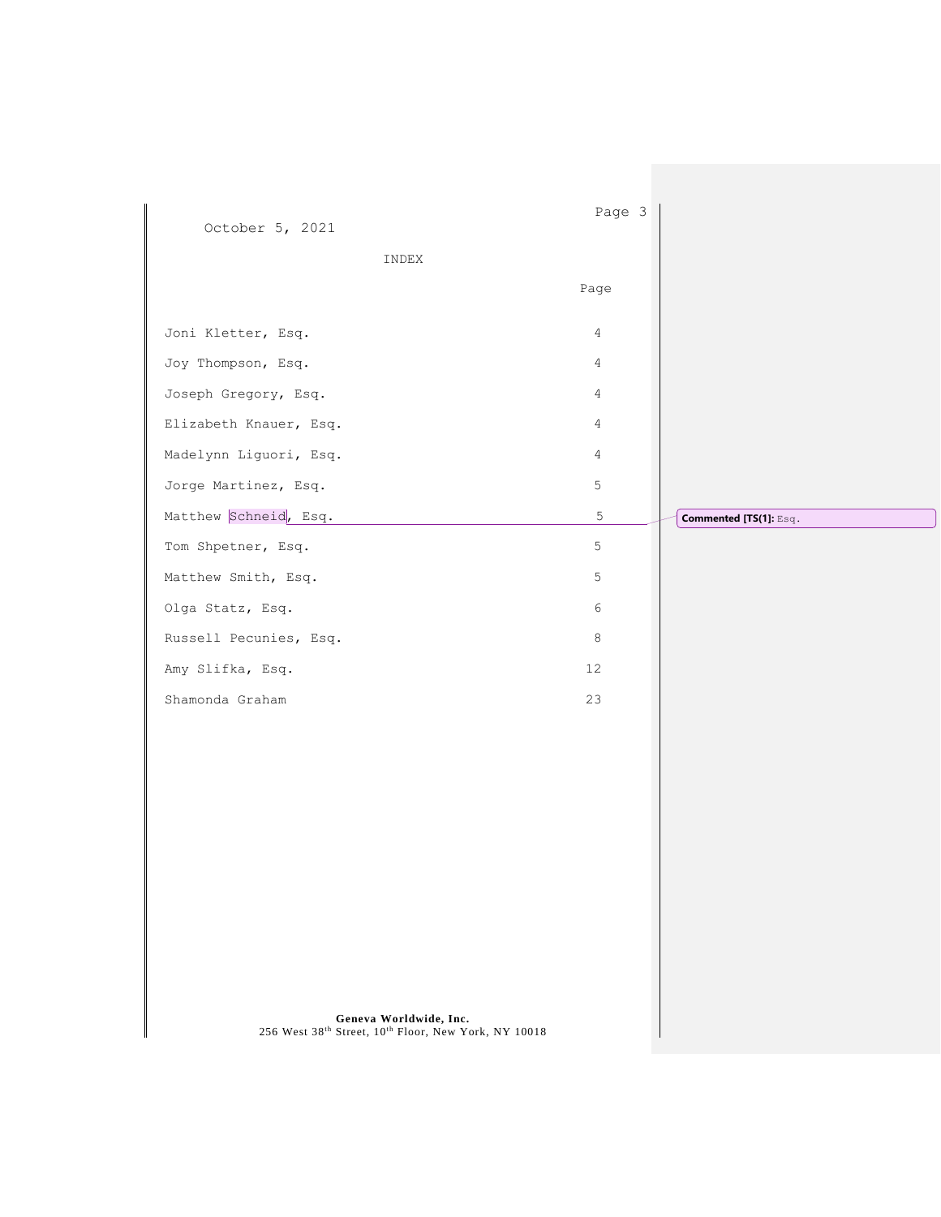| October 5, 2021<br>INDEX                                                                        | Page 3<br>Page |                        |
|-------------------------------------------------------------------------------------------------|----------------|------------------------|
| Joni Kletter, Esq.                                                                              | $\overline{4}$ |                        |
| Joy Thompson, Esq.                                                                              | 4              |                        |
| Joseph Gregory, Esq.                                                                            | $\overline{4}$ |                        |
| Elizabeth Knauer, Esq.                                                                          | $\overline{4}$ |                        |
| Madelynn Liguori, Esq.                                                                          | $\overline{4}$ |                        |
| Jorge Martinez, Esq.                                                                            | $\mathsf S$    |                        |
| Matthew Schneid, Esq.                                                                           | $\mathsf S$    | Commented [TS(1]: Esq. |
| Tom Shpetner, Esq.                                                                              | 5              |                        |
| Matthew Smith, Esq.                                                                             | 5              |                        |
| Olga Statz, Esq.                                                                                | $\epsilon$     |                        |
| Russell Pecunies, Esq.                                                                          | 8              |                        |
| Amy Slifka, Esq.                                                                                | 12             |                        |
| Shamonda Graham                                                                                 | 23             |                        |
|                                                                                                 |                |                        |
|                                                                                                 |                |                        |
|                                                                                                 |                |                        |
|                                                                                                 |                |                        |
|                                                                                                 |                |                        |
|                                                                                                 |                |                        |
|                                                                                                 |                |                        |
|                                                                                                 |                |                        |
| <b>Geneva Worldwide, Inc.</b><br>256 West $38^{th}$ Street, $10^{th}$ Floor, New York, NY 10018 |                |                        |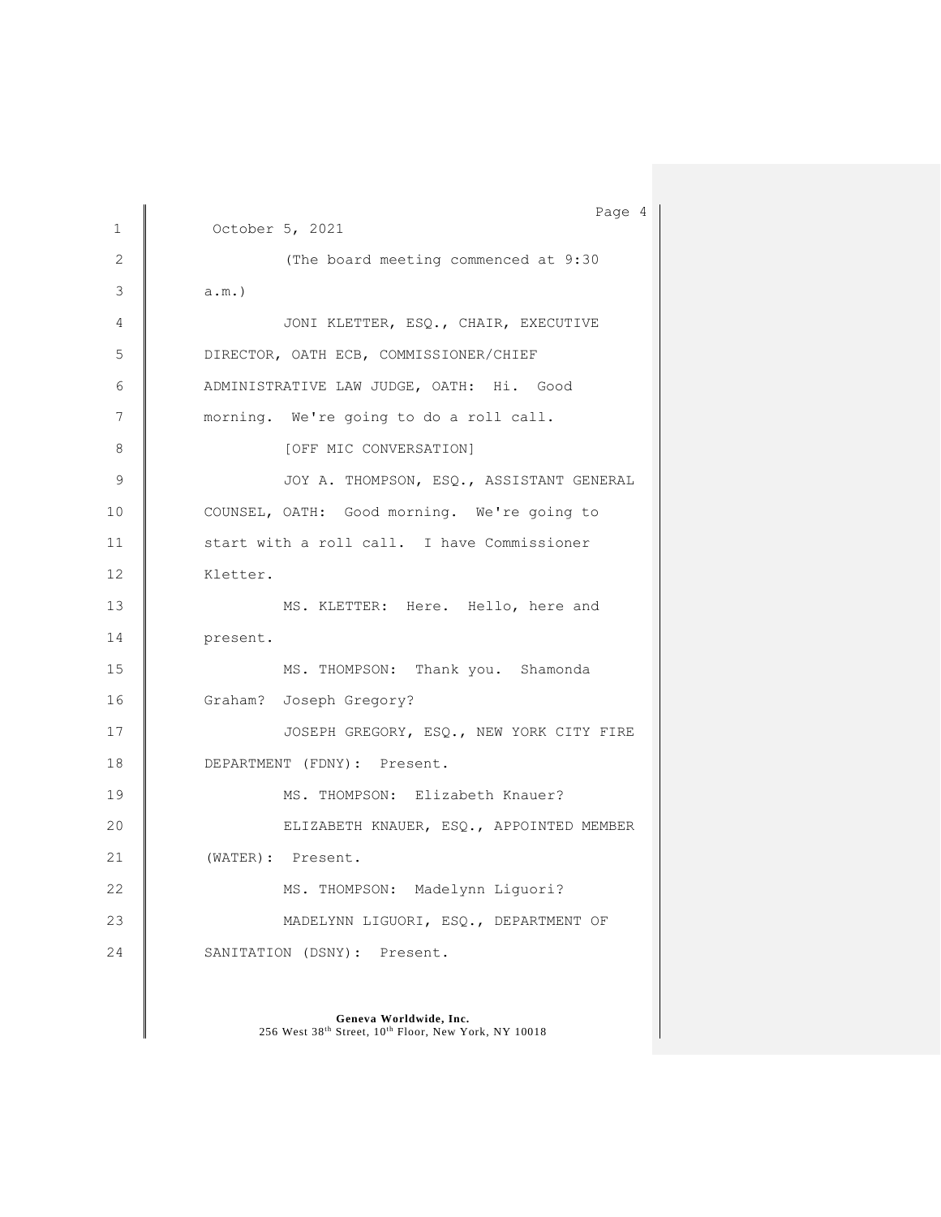```
Page 4
1 October 5, 2021
2 The board meeting commenced at 9:30
3 \parallel a.m.)
4 | JONI KLETTER, ESQ., CHAIR, EXECUTIVE
5 DIRECTOR, OATH ECB, COMMISSIONER/CHIEF 
6 ADMINISTRATIVE LAW JUDGE, OATH: Hi. Good 
7 morning. We're going to do a roll call.
8 CONVERSATION
9 JOY A. THOMPSON, ESQ., ASSISTANT GENERAL
10 COUNSEL, OATH: Good morning. We're going to
11 | start with a roll call. I have Commissioner
12 Kletter.
13 MS. KLETTER: Here. Hello, here and
14 present.
15 MS. THOMPSON: Thank you. Shamonda
16 Graham? Joseph Gregory? 
17 | JOSEPH GREGORY, ESQ., NEW YORK CITY FIRE
18 DEPARTMENT (FDNY): Present.
19 | MS. THOMPSON: Elizabeth Knauer?
20 | ELIZABETH KNAUER, ESQ., APPOINTED MEMBER
21 | (WATER): Present.
22 | MS. THOMPSON: Madelynn Liguori?
23 | MADELYNN LIGUORI, ESQ., DEPARTMENT OF
24 SANITATION (DSNY): Present.
```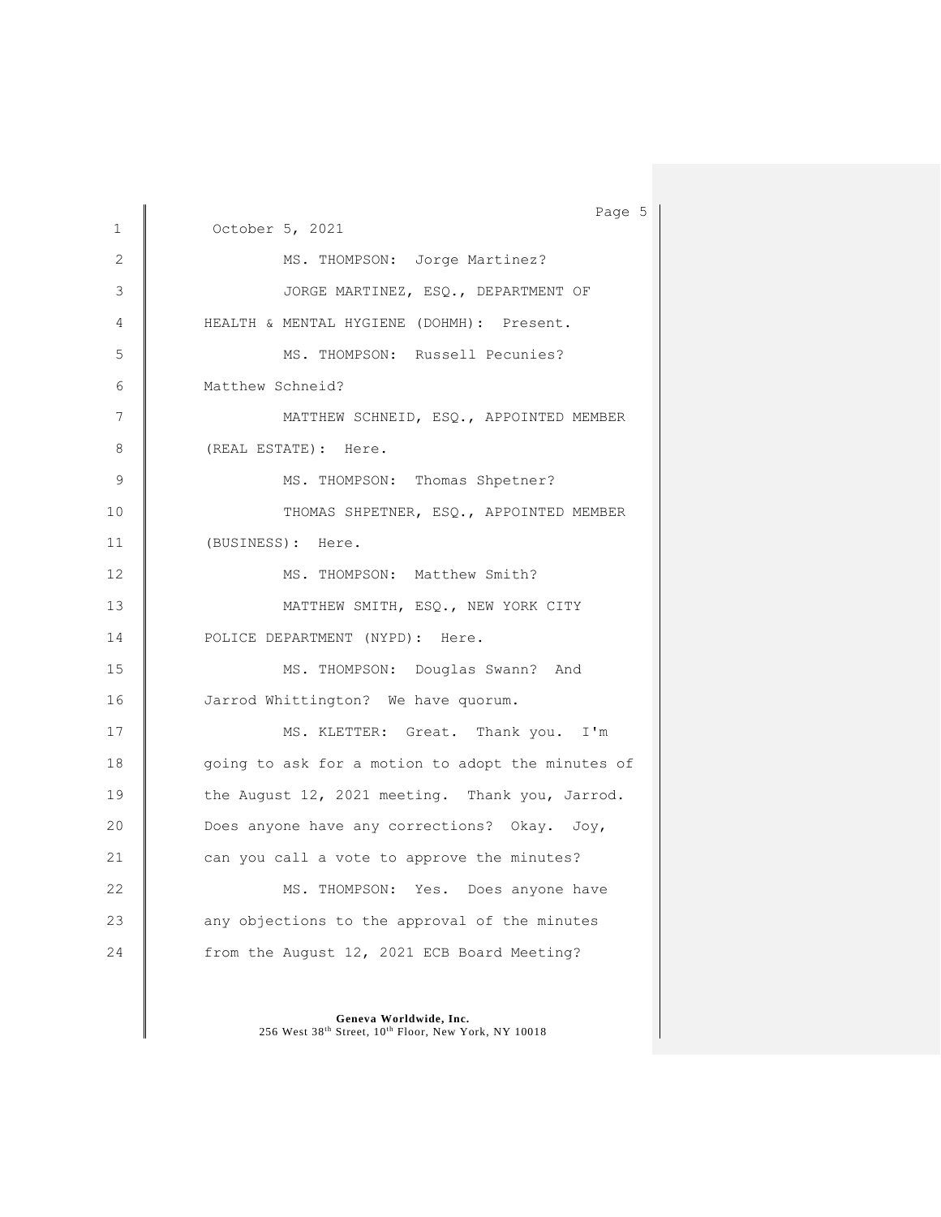|    | Page 5                                            |
|----|---------------------------------------------------|
| 1  | October 5, 2021                                   |
| 2  | MS. THOMPSON: Jorge Martinez?                     |
| 3  | JORGE MARTINEZ, ESQ., DEPARTMENT OF               |
| 4  | HEALTH & MENTAL HYGIENE (DOHMH): Present.         |
| 5  | MS. THOMPSON: Russell Pecunies?                   |
| 6  | Matthew Schneid?                                  |
| 7  | MATTHEW SCHNEID, ESQ., APPOINTED MEMBER           |
| 8  | (REAL ESTATE): Here.                              |
| 9  | MS. THOMPSON: Thomas Shpetner?                    |
| 10 | THOMAS SHPETNER, ESQ., APPOINTED MEMBER           |
| 11 | (BUSINESS): Here.                                 |
| 12 | MS. THOMPSON: Matthew Smith?                      |
| 13 | MATTHEW SMITH, ESQ., NEW YORK CITY                |
| 14 | POLICE DEPARTMENT (NYPD): Here.                   |
| 15 | MS. THOMPSON: Douglas Swann? And                  |
| 16 | Jarrod Whittington? We have quorum.               |
| 17 | MS. KLETTER: Great. Thank you. I'm                |
| 18 | going to ask for a motion to adopt the minutes of |
| 19 | the August 12, 2021 meeting. Thank you, Jarrod.   |
| 20 | Does anyone have any corrections? Okay. Joy,      |
| 21 | can you call a vote to approve the minutes?       |
| 22 | MS. THOMPSON: Yes. Does anyone have               |
| 23 | any objections to the approval of the minutes     |
| 24 | from the August 12, 2021 ECB Board Meeting?       |
|    |                                                   |

Geneva Worldwide, Inc.<br>256 West 38<sup>th</sup> Street, 10<sup>th</sup> Floor, New York, NY 10018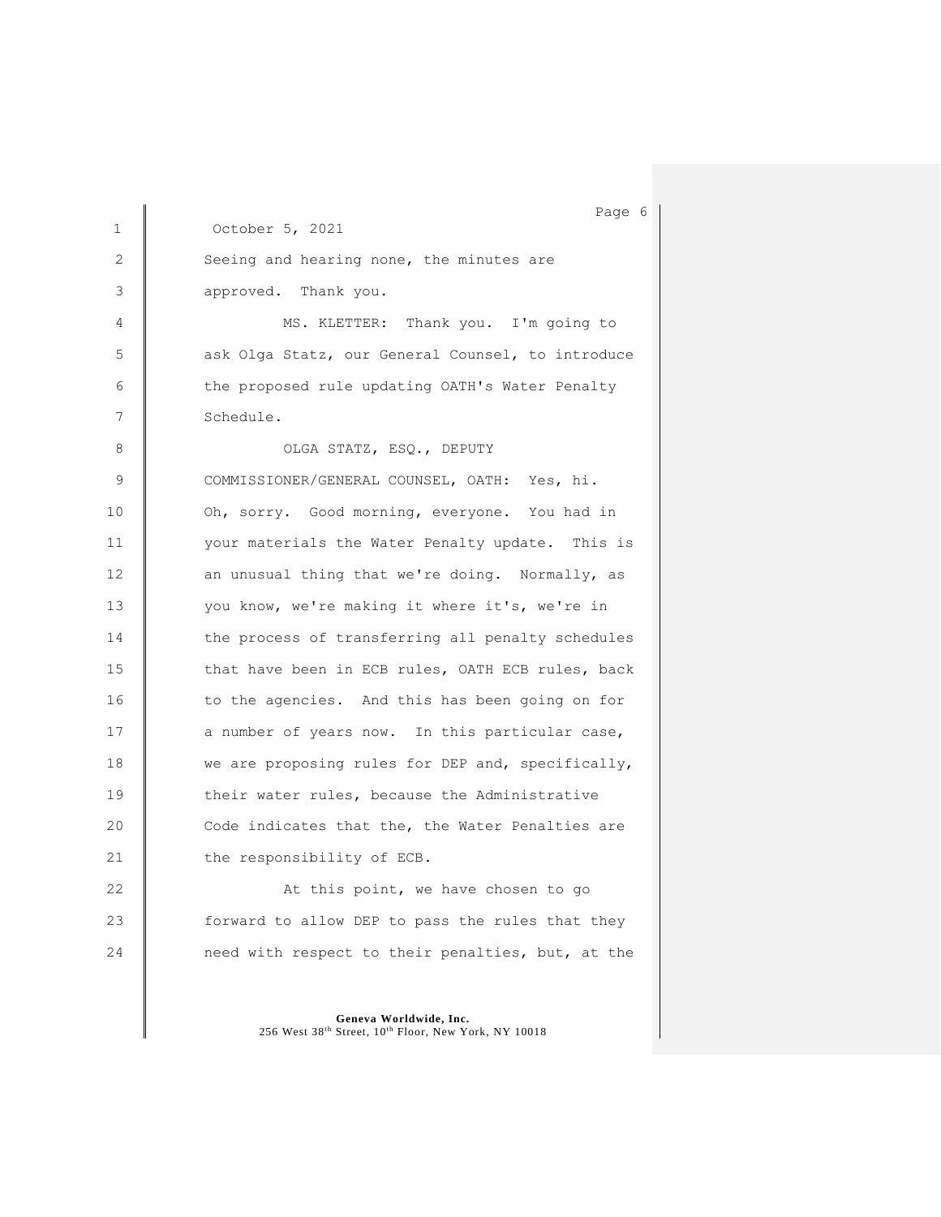Page 6 1 October 5, 2021 2 Seeing and hearing none, the minutes are 3 approved. Thank you. 4 | MS. KLETTER: Thank you. I'm going to 5 **a** ask Olga Statz, our General Counsel, to introduce 6 | the proposed rule updating OATH's Water Penalty 7 Schedule. 8 | OLGA STATZ, ESQ., DEPUTY 9 COMMISSIONER/GENERAL COUNSEL, OATH: Yes, hi. 10 **Oh, sorry.** Good morning, everyone. You had in 11 vour materials the Water Penalty update. This is 12 an unusual thing that we're doing. Normally, as 13 you know, we're making it where it's, we're in 14 the process of transferring all penalty schedules 15 that have been in ECB rules, OATH ECB rules, back 16 to the agencies. And this has been going on for 17 a number of years now. In this particular case, 18 we are proposing rules for DEP and, specifically, 19 their water rules, because the Administrative 20 Code indicates that the, the Water Penalties are 21 **the responsibility of ECB.** 22 **At this point, we have chosen to go** 23 **forward to allow DEP** to pass the rules that they 24 **need with respect to their penalties, but, at the**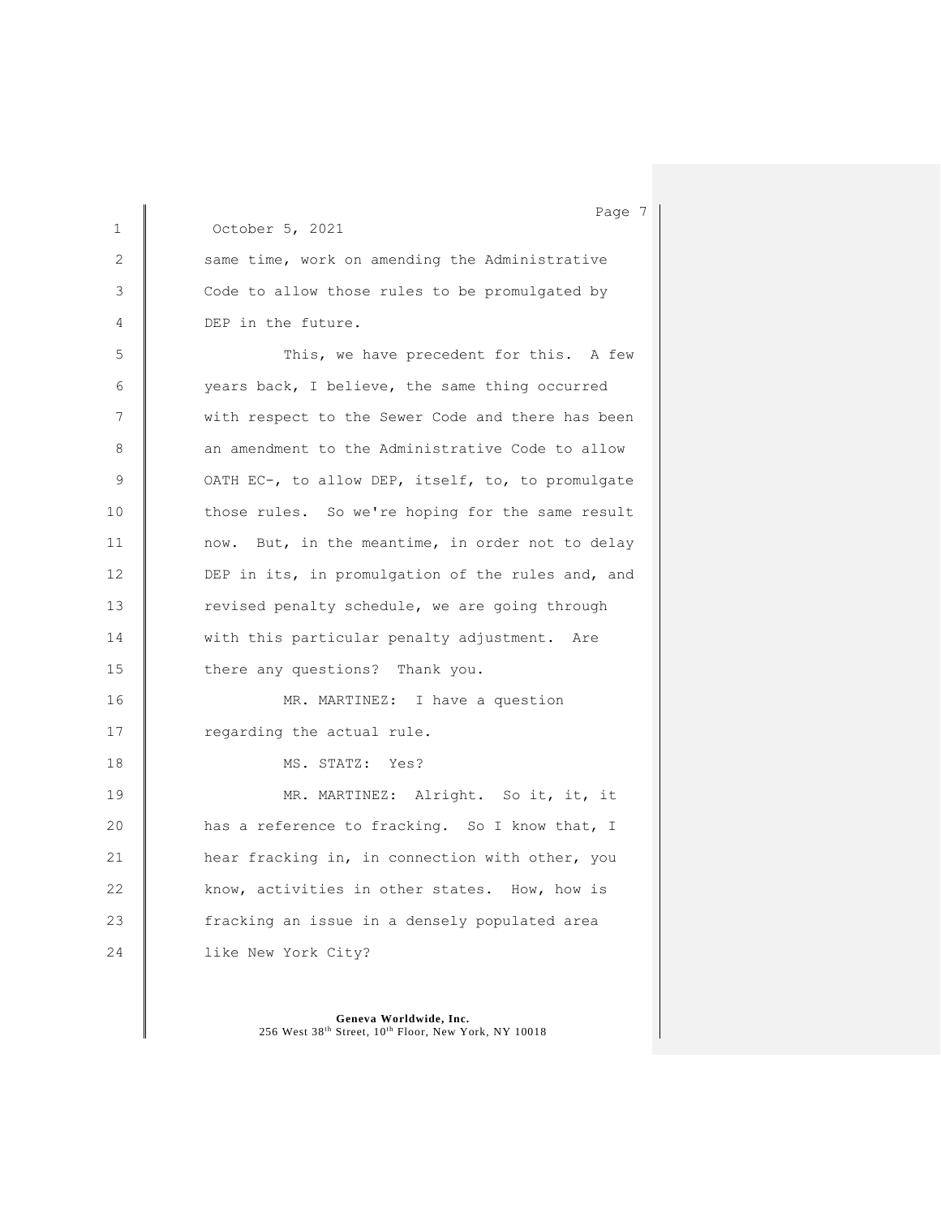1 October 5, 2021 2 Same time, work on amending the Administrative 3 Code to allow those rules to be promulgated by 4 DEP in the future. 5 This, we have precedent for this. A few 6 years back, I believe, the same thing occurred 7 | with respect to the Sewer Code and there has been 8 an amendment to the Administrative Code to allow 9 | OATH EC-, to allow DEP, itself, to, to promulgate 10 those rules. So we're hoping for the same result 11 | now. But, in the meantime, in order not to delay 12 DEP in its, in promulgation of the rules and, and 13 Tevised penalty schedule, we are going through 14 **With this particular penalty adjustment.** Are 15 there any questions? Thank you. 16 | MR. MARTINEZ: I have a question 17 **c**regarding the actual rule. 18 MS. STATZ: Yes? 19 | MR. MARTINEZ: Alright. So it, it, it 20 has a reference to fracking. So I know that, I 21 **hear fracking in, in connection with other, you** 22 know, activities in other states. How, how is 23 **fracking an issue in a densely populated area** 24 **like New York City?** 

> **Geneva Worldwide, Inc.** 256 West 38th Street, 10th Floor, New York, NY 10018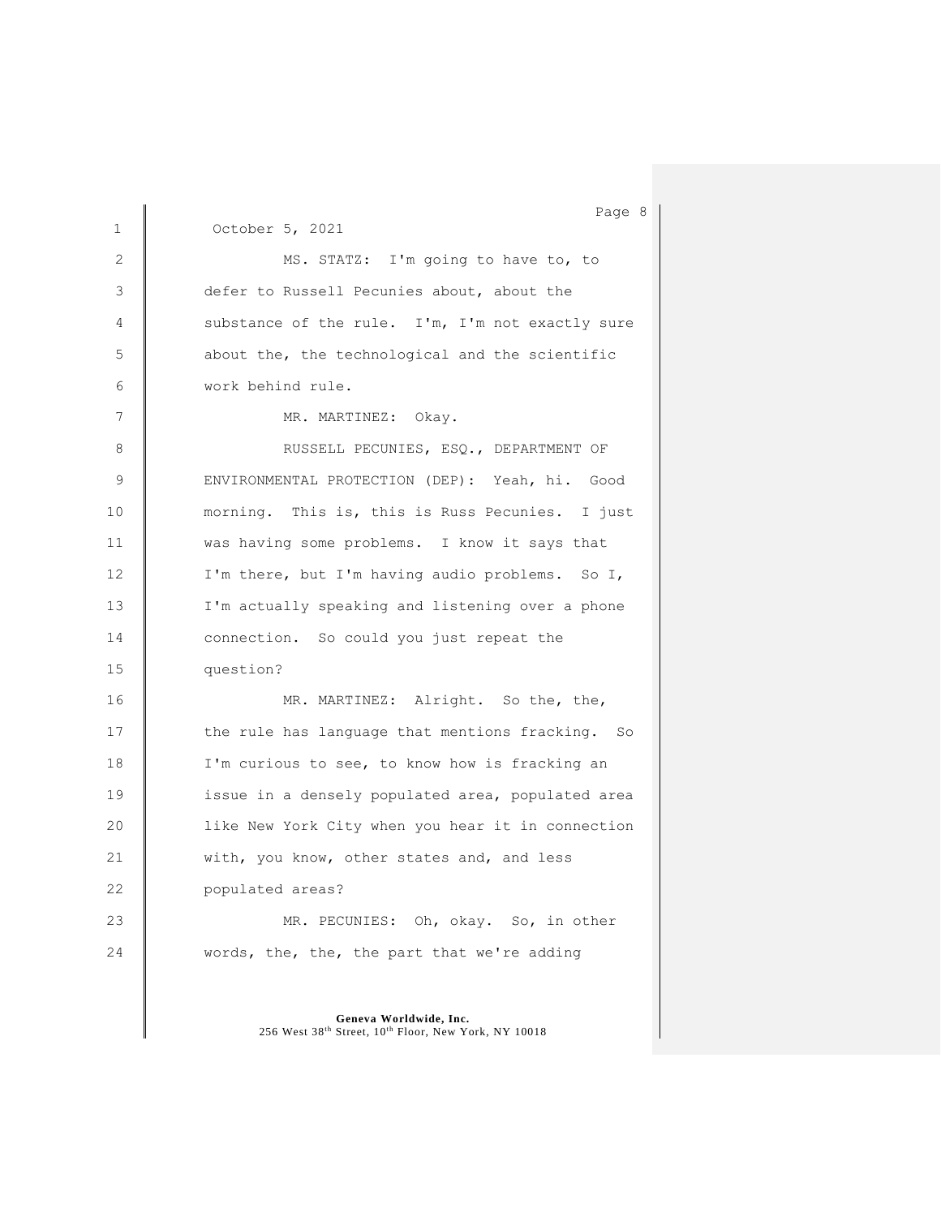Page 8 1 October 5, 2021 2 MS. STATZ: I'm going to have to, to 3 defer to Russell Pecunies about, about the 4 substance of the rule. I'm, I'm not exactly sure 5 about the, the technological and the scientific 6 work behind rule. 7 MR. MARTINEZ: Okay. 8 | RUSSELL PECUNIES, ESQ., DEPARTMENT OF 9 | ENVIRONMENTAL PROTECTION (DEP): Yeah, hi. Good 10 morning. This is, this is Russ Pecunies. I just 11 **was having some problems.** I know it says that 12 | I'm there, but I'm having audio problems. So I, 13 **I'm actually speaking and listening over a phone** 14 **connection.** So could you just repeat the 15 question? 16 MR. MARTINEZ: Alright. So the, the, 17 the rule has language that mentions fracking. So 18 **I'm curious to see, to know how is fracking an** 19 **issue in a densely populated area, populated area** 20 **like New York City when you hear it in connection** 21 **With, you know, other states and, and less** 22 **populated areas?** 23 MR. PECUNIES: Oh, okay. So, in other 24 words, the, the, the part that we're adding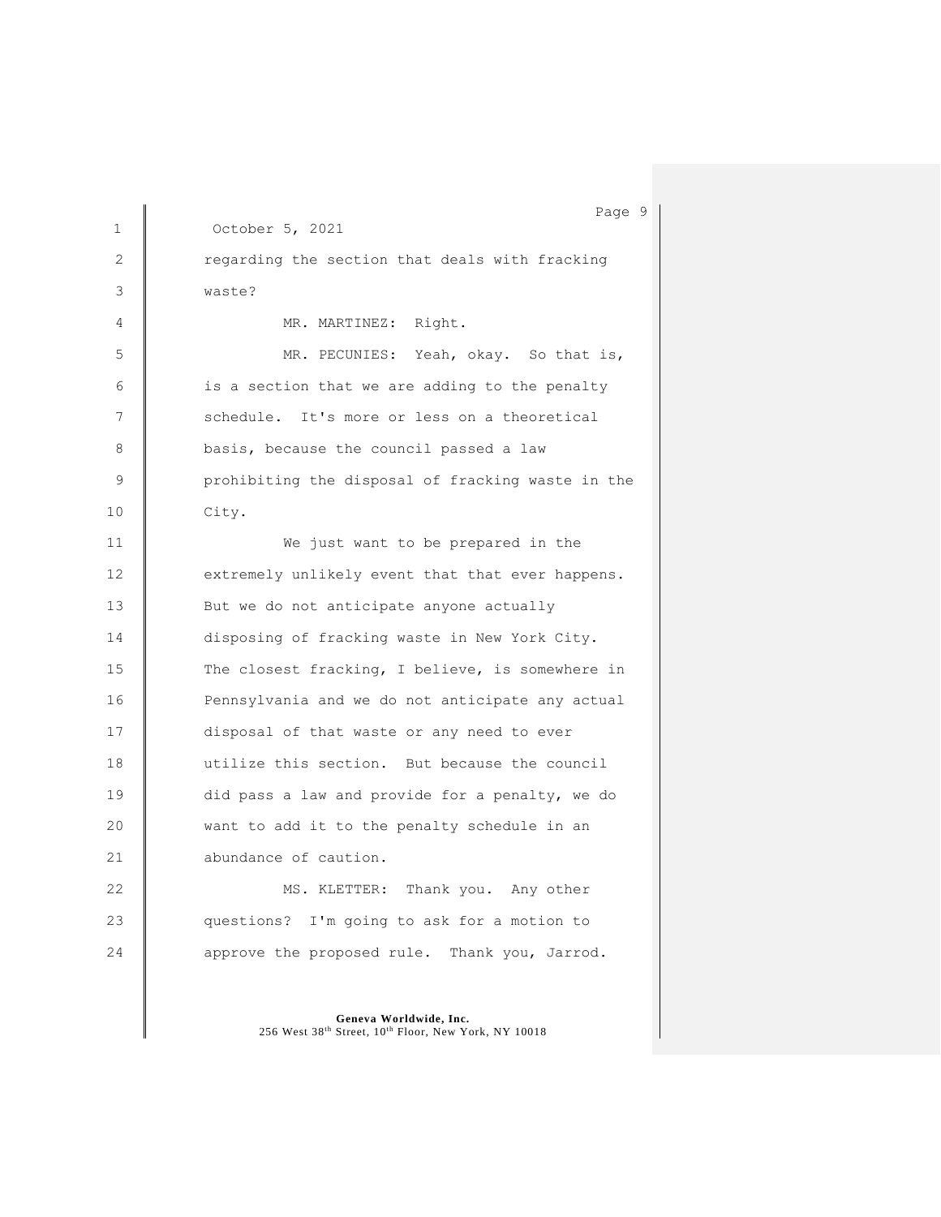Page 9 1 October 5, 2021 2 Tegarding the section that deals with fracking 3 waste? 4 | MR. MARTINEZ: Right. 5 MR. PECUNIES: Yeah, okay. So that is,  $6$   $\parallel$  is a section that we are adding to the penalty 7 Schedule. It's more or less on a theoretical 8 basis, because the council passed a law 9 **P** prohibiting the disposal of fracking waste in the 10 City. 11 **I** We just want to be prepared in the 12 extremely unlikely event that that ever happens. 13 **But we do not anticipate anyone actually** 14 disposing of fracking waste in New York City. 15 The closest fracking, I believe, is somewhere in 16 **Pennsylvania and we do not anticipate any actual** 17 disposal of that waste or any need to ever 18 utilize this section. But because the council 19 did pass a law and provide for a penalty, we do 20 want to add it to the penalty schedule in an 21 abundance of caution. 22 MS. KLETTER: Thank you. Any other 23 questions? I'm going to ask for a motion to 24 approve the proposed rule. Thank you, Jarrod.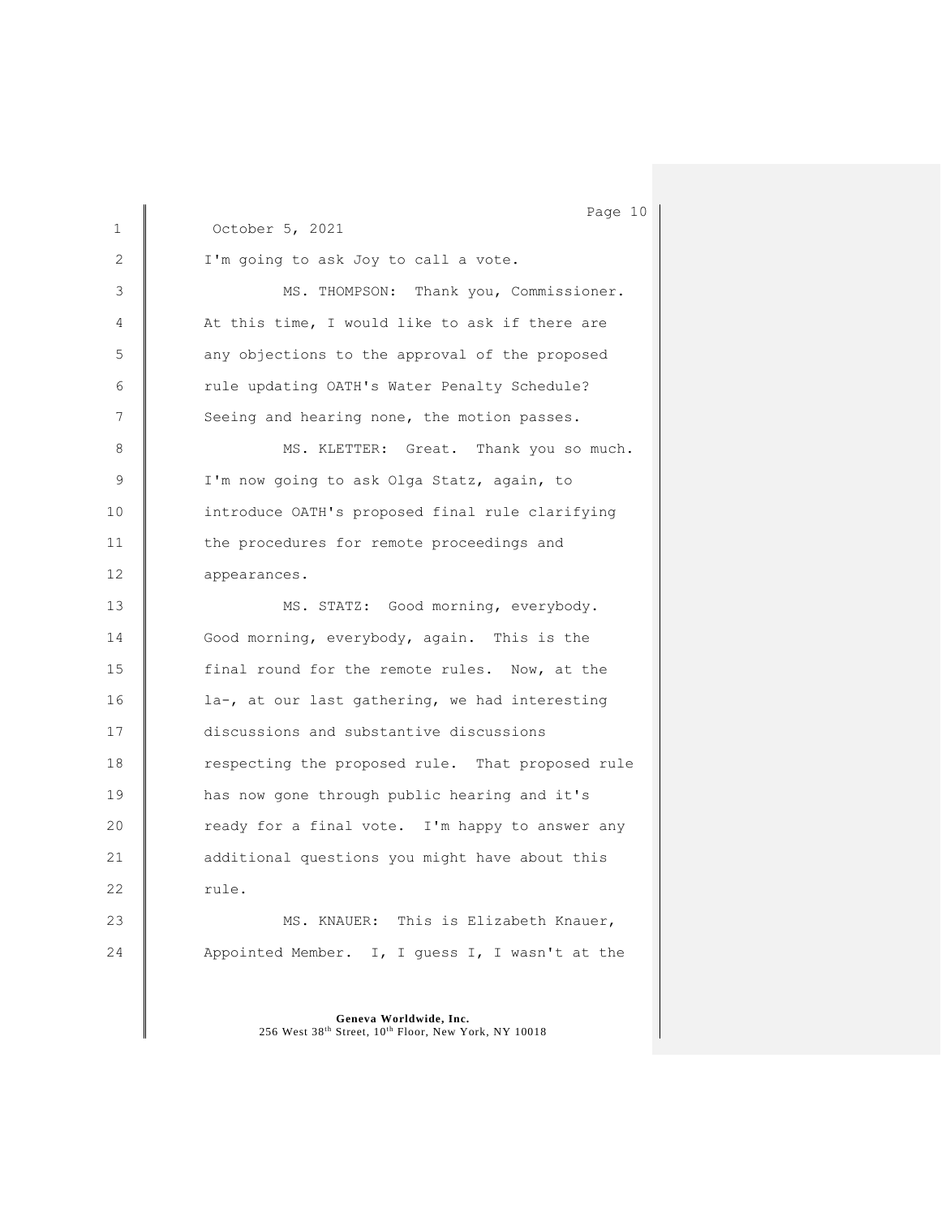1 October 5, 2021 2 | I'm going to ask Joy to call a vote. 3 MS. THOMPSON: Thank you, Commissioner. 4  $\parallel$  At this time, I would like to ask if there are 5 any objections to the approval of the proposed 6 Tule updating OATH's Water Penalty Schedule? 7 Seeing and hearing none, the motion passes. 8 | MS. KLETTER: Great. Thank you so much. 9 | I'm now going to ask Olga Statz, again, to 10 introduce OATH's proposed final rule clarifying 11 **the procedures for remote proceedings and** 12 appearances. 13 | MS. STATZ: Good morning, everybody. 14 Good morning, everybody, again. This is the 15 final round for the remote rules. Now, at the 16 **la-, at our last gathering, we had interesting** 17 discussions and substantive discussions 18 respecting the proposed rule. That proposed rule 19 **has now gone through public hearing and it's** 20 **Parady for a final vote.** I'm happy to answer any 21 **additional questions you might have about this**  $22$   $rule.$ 23 MS. KNAUER: This is Elizabeth Knauer, 24 Appointed Member. I, I guess I, I wasn't at the

> **Geneva Worldwide, Inc.** 256 West 38th Street, 10th Floor, New York, NY 10018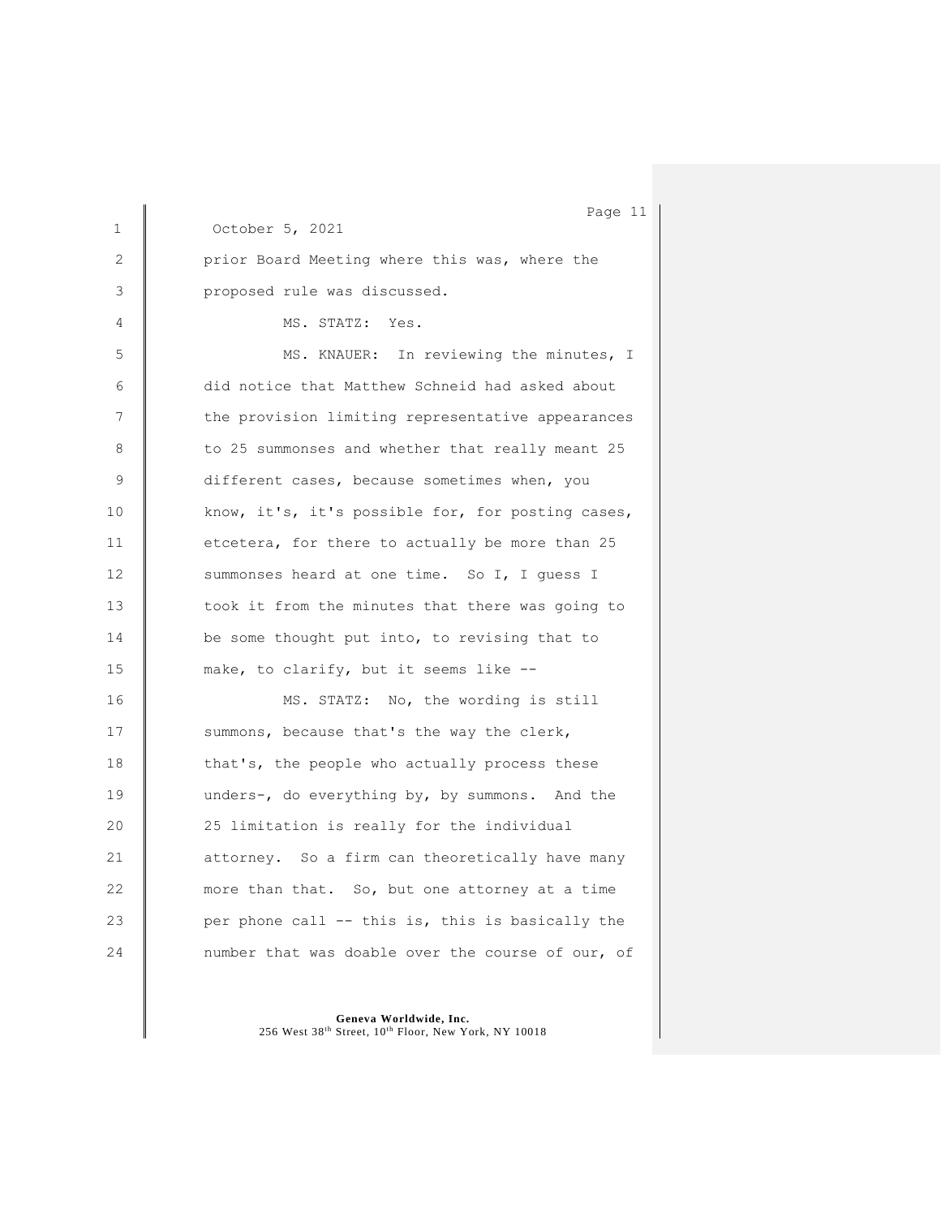1 October 5, 2021 2 | prior Board Meeting where this was, where the 3 proposed rule was discussed. 4 | MS. STATZ: Yes. 5 | MS. KNAUER: In reviewing the minutes, I 6 did notice that Matthew Schneid had asked about 7 the provision limiting representative appearances 8 | to 25 summonses and whether that really meant 25 9 different cases, because sometimes when, you 10 know, it's, it's possible for, for posting cases, 11 etcetera, for there to actually be more than 25 12 Summonses heard at one time. So I, I guess I 13 took it from the minutes that there was going to 14 be some thought put into, to revising that to 15 make, to clarify, but it seems like --16 MS. STATZ: No, the wording is still 17 Summons, because that's the way the clerk, 18 that's, the people who actually process these 19 unders-, do everything by, by summons. And the 20 25 limitation is really for the individual 21 **attorney.** So a firm can theoretically have many 22 more than that. So, but one attorney at a time 23 **per phone call -- this is, this is basically the** 24 **number** that was doable over the course of our, of

> **Geneva Worldwide, Inc.** 256 West 38th Street, 10th Floor, New York, NY 10018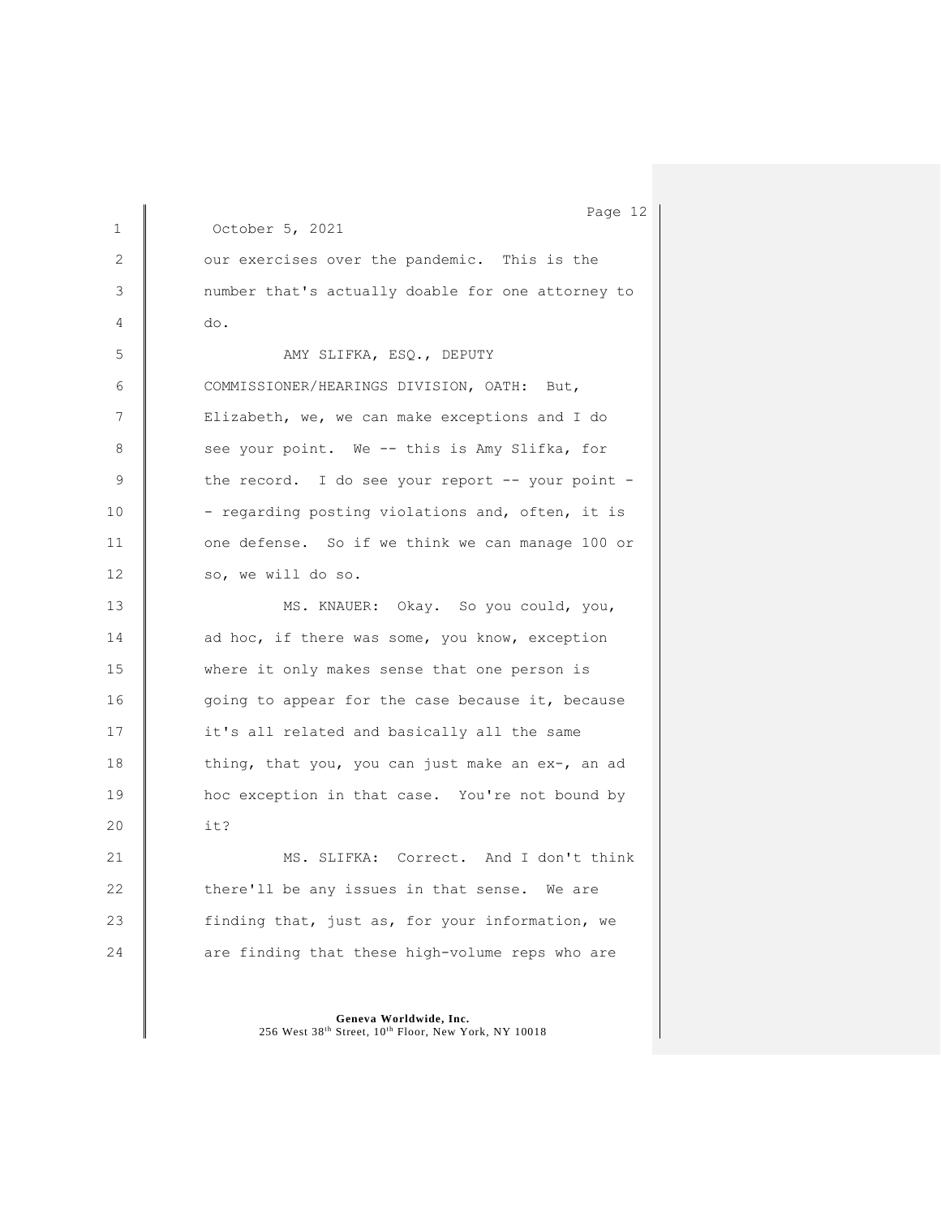Page 12 1 October 5, 2021 2 our exercises over the pandemic. This is the 3 number that's actually doable for one attorney to  $4 \parallel$  do. 5 AMY SLIFKA, ESQ., DEPUTY 6 COMMISSIONER/HEARINGS DIVISION, OATH: But, 7 | Elizabeth, we, we can make exceptions and I do 8 see your point. We -- this is Amy Slifka, for 9 the record. I do see your report -- your point -10 - regarding posting violations and, often, it is 11 one defense. So if we think we can manage 100 or 12 so, we will do so. 13 MS. KNAUER: Okay. So you could, you, 14 ad hoc, if there was some, you know, exception 15 where it only makes sense that one person is 16 going to appear for the case because it, because 17 it's all related and basically all the same 18 thing, that you, you can just make an ex-, an ad 19 **hoc exception in that case.** You're not bound by 20 it? 21 | MS. SLIFKA: Correct. And I don't think 22 there'll be any issues in that sense. We are 23 **finding that, just as, for your information, we** 24 are finding that these high-volume reps who are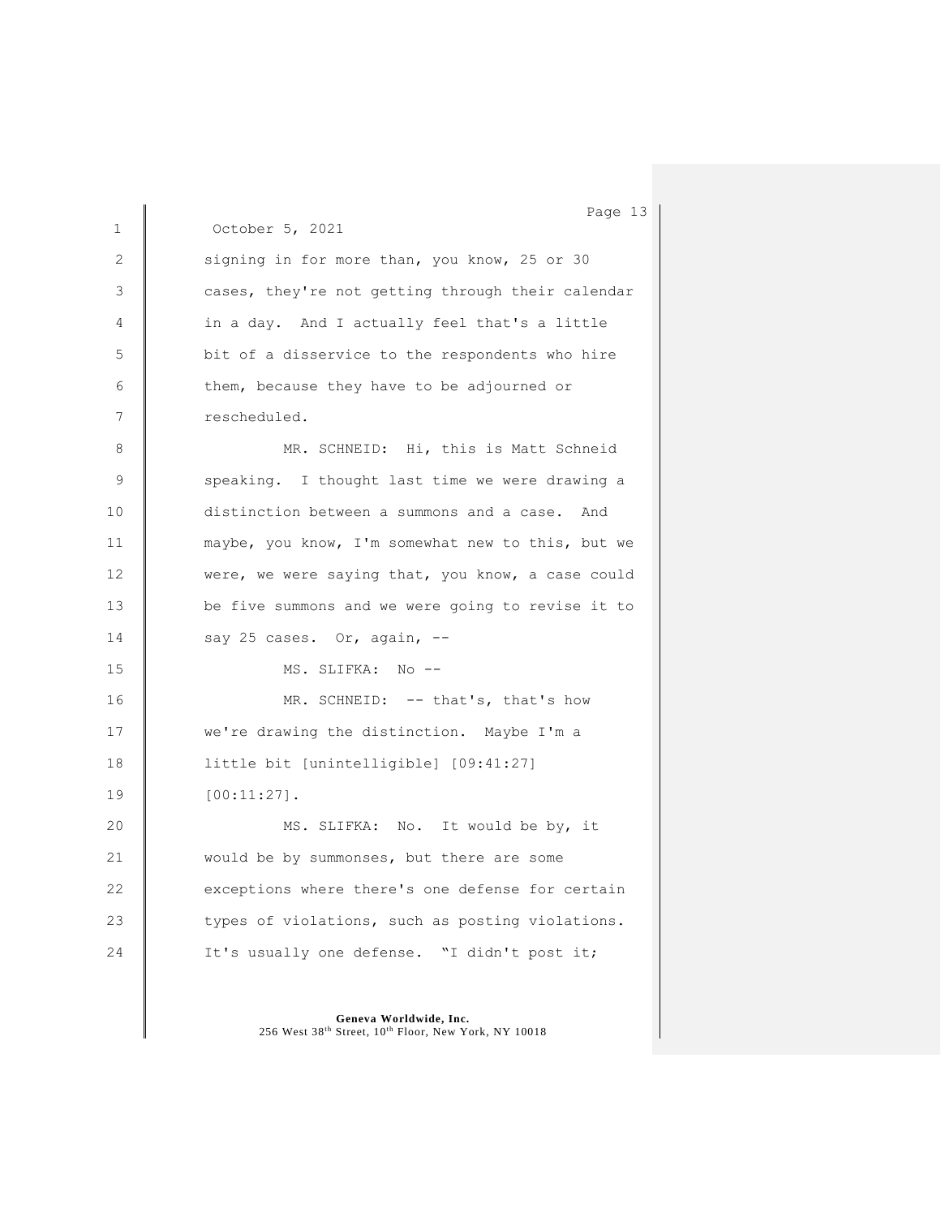Page 13 1 October 5, 2021 2 Signing in for more than, you know, 25 or 30 3 **cases, they're not getting through their calendar** 4 in a day. And I actually feel that's a little 5 bit of a disservice to the respondents who hire 6 them, because they have to be adjourned or 7 cescheduled. 8 | MR. SCHNEID: Hi, this is Matt Schneid 9 Speaking. I thought last time we were drawing a 10 distinction between a summons and a case. And 11 maybe, you know, I'm somewhat new to this, but we 12 were, we were saying that, you know, a case could 13 **be five summons and we were going to revise it to**  $14$  say 25 cases. Or, again, --15 MS. SLIFKA: No --16 MR. SCHNEID: -- that's, that's how 17 **We're drawing the distinction.** Maybe I'm a 18 | little bit [unintelligible] [09:41:27] 19 [00:11:27]. 20 MS. SLIFKA: No. It would be by, it 21 would be by summonses, but there are some 22 exceptions where there's one defense for certain 23 Vergin types of violations, such as posting violations. 24 **I** It's usually one defense. "I didn't post it;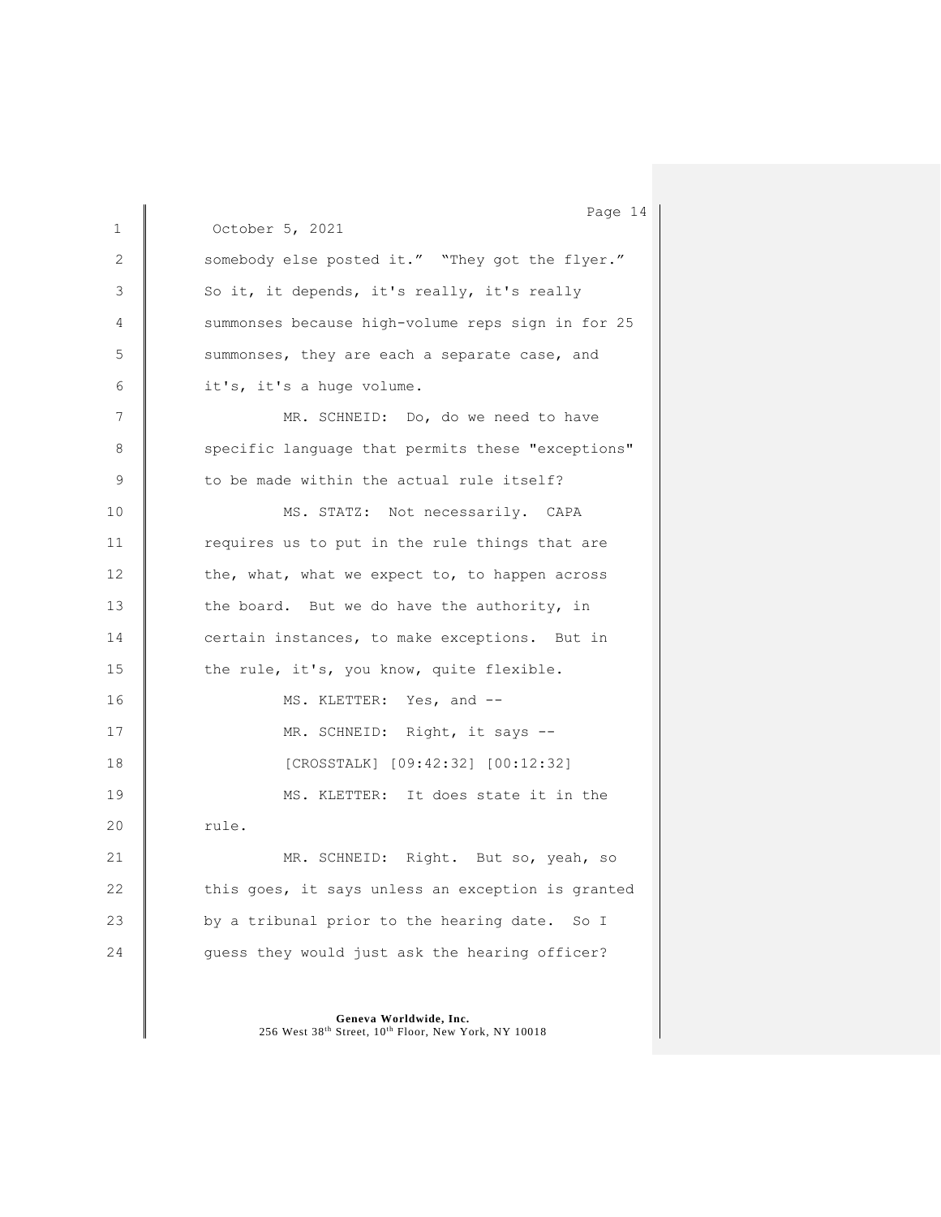1 October 5, 2021 2 Somebody else posted it." "They got the flyer." 3 So it, it depends, it's really, it's really 4 Summonses because high-volume reps sign in for 25 5 summonses, they are each a separate case, and 6 it's, it's a huge volume. 7 MR. SCHNEID: Do, do we need to have 8 Specific language that permits these "exceptions" 9 to be made within the actual rule itself? 10 | MS. STATZ: Not necessarily. CAPA 11 Tequires us to put in the rule things that are 12 the, what, what we expect to, to happen across 13 the board. But we do have the authority, in 14 certain instances, to make exceptions. But in 15  $\parallel$  the rule, it's, you know, quite flexible. 16 MS. KLETTER: Yes, and --17 MR. SCHNEID: Right, it says --18 | [CROSSTALK] [09:42:32] [00:12:32] 19 MS. KLETTER: It does state it in the 20  $\|$  rule. 21 MR. SCHNEID: Right. But so, yeah, so 22  $\parallel$  this goes, it says unless an exception is granted 23 by a tribunal prior to the hearing date. So I 24 guess they would just ask the hearing officer?

> **Geneva Worldwide, Inc.** 256 West 38th Street, 10th Floor, New York, NY 10018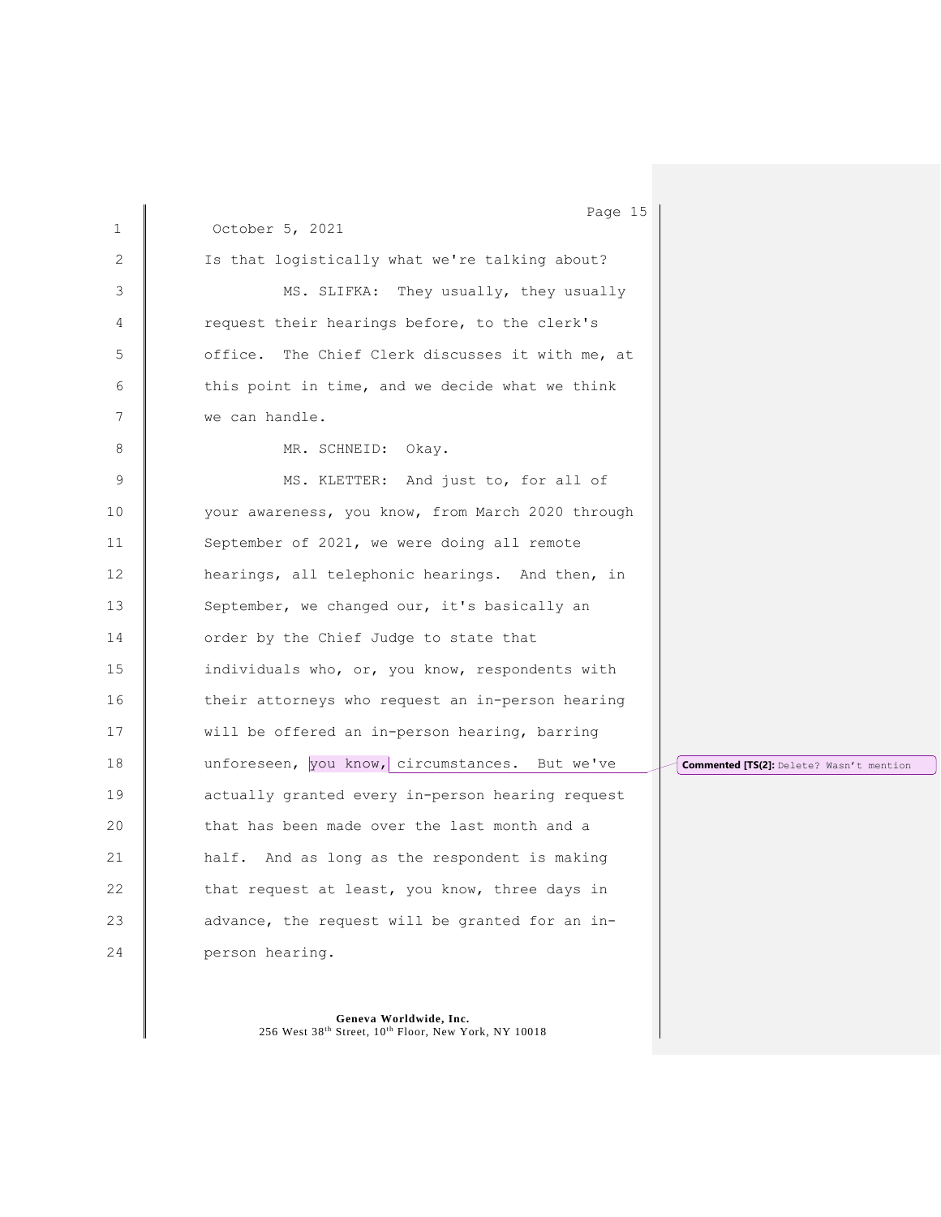| $\mathbf{1}$ | Page 15<br>October 5, 2021                        |                                          |
|--------------|---------------------------------------------------|------------------------------------------|
|              |                                                   |                                          |
| 2            | Is that logistically what we're talking about?    |                                          |
| 3            | MS. SLIFKA: They usually, they usually            |                                          |
| 4            | request their hearings before, to the clerk's     |                                          |
| 5            | office. The Chief Clerk discusses it with me, at  |                                          |
| 6            | this point in time, and we decide what we think   |                                          |
| 7            | we can handle.                                    |                                          |
| 8            | MR. SCHNEID: Okay.                                |                                          |
| 9            | MS. KLETTER: And just to, for all of              |                                          |
| 10           | your awareness, you know, from March 2020 through |                                          |
| 11           | September of 2021, we were doing all remote       |                                          |
| 12           | hearings, all telephonic hearings. And then, in   |                                          |
| 13           | September, we changed our, it's basically an      |                                          |
| 14           | order by the Chief Judge to state that            |                                          |
| 15           | individuals who, or, you know, respondents with   |                                          |
| 16           | their attorneys who request an in-person hearing  |                                          |
| 17           | will be offered an in-person hearing, barring     |                                          |
| 18           | unforeseen, you know, circumstances. But we've    | Commented [TS(2]: Delete? Wasn't mention |
| 19           | actually granted every in-person hearing request  |                                          |
| 20           | that has been made over the last month and a      |                                          |
| 21           | half. And as long as the respondent is making     |                                          |
| 22           | that request at least, you know, three days in    |                                          |
| 23           | advance, the request will be granted for an in-   |                                          |
| 24           | person hearing.                                   |                                          |
|              |                                                   |                                          |

Geneva Worldwide, Inc.<br>256 West 38<sup>th</sup> Street, 10<sup>th</sup> Floor, New York, NY 10018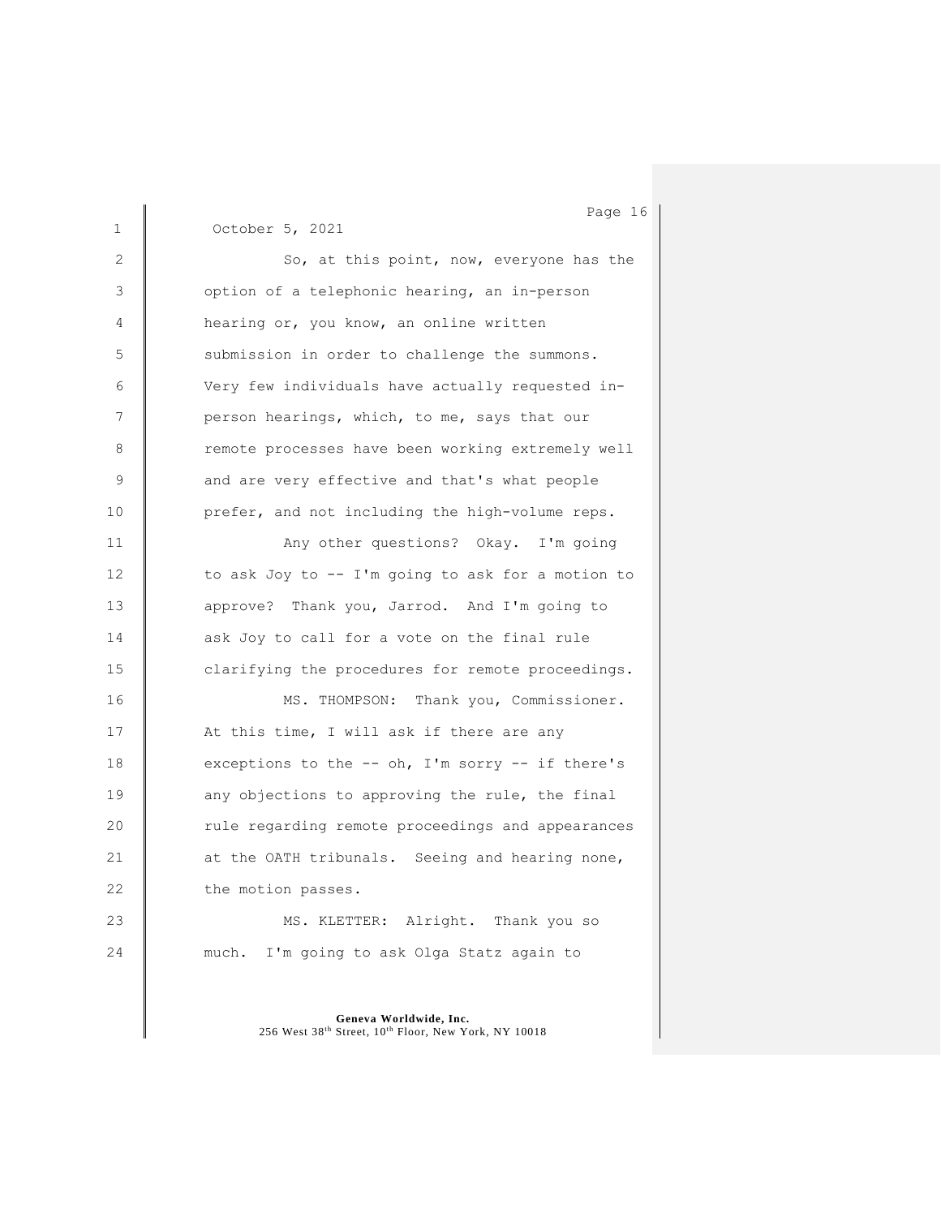1 October 5, 2021 2 So, at this point, now, everyone has the 3 | option of a telephonic hearing, an in-person 4 **hearing or, you know, an online written** 5 Submission in order to challenge the summons. 6 Very few individuals have actually requested in-7 **person hearings, which, to me, says that our** 8 Temote processes have been working extremely well 9 and are very effective and that's what people 10 **prefer, and not including the high-volume reps.** 11 Any other questions? Okay. I'm going 12 to ask Joy to -- I'm going to ask for a motion to 13 **approve?** Thank you, Jarrod. And I'm going to 14 ask Joy to call for a vote on the final rule 15 **clarifying the procedures for remote proceedings.** 16 | MS. THOMPSON: Thank you, Commissioner. 17 | At this time, I will ask if there are any 18 exceptions to the -- oh, I'm sorry -- if there's 19 **any** objections to approving the rule, the final 20 Tule regarding remote proceedings and appearances 21 at the OATH tribunals. Seeing and hearing none, 22 the motion passes. 23 MS. KLETTER: Alright. Thank you so 24 **much.** I'm going to ask Olga Statz again to

> **Geneva Worldwide, Inc.** 256 West 38th Street, 10th Floor, New York, NY 10018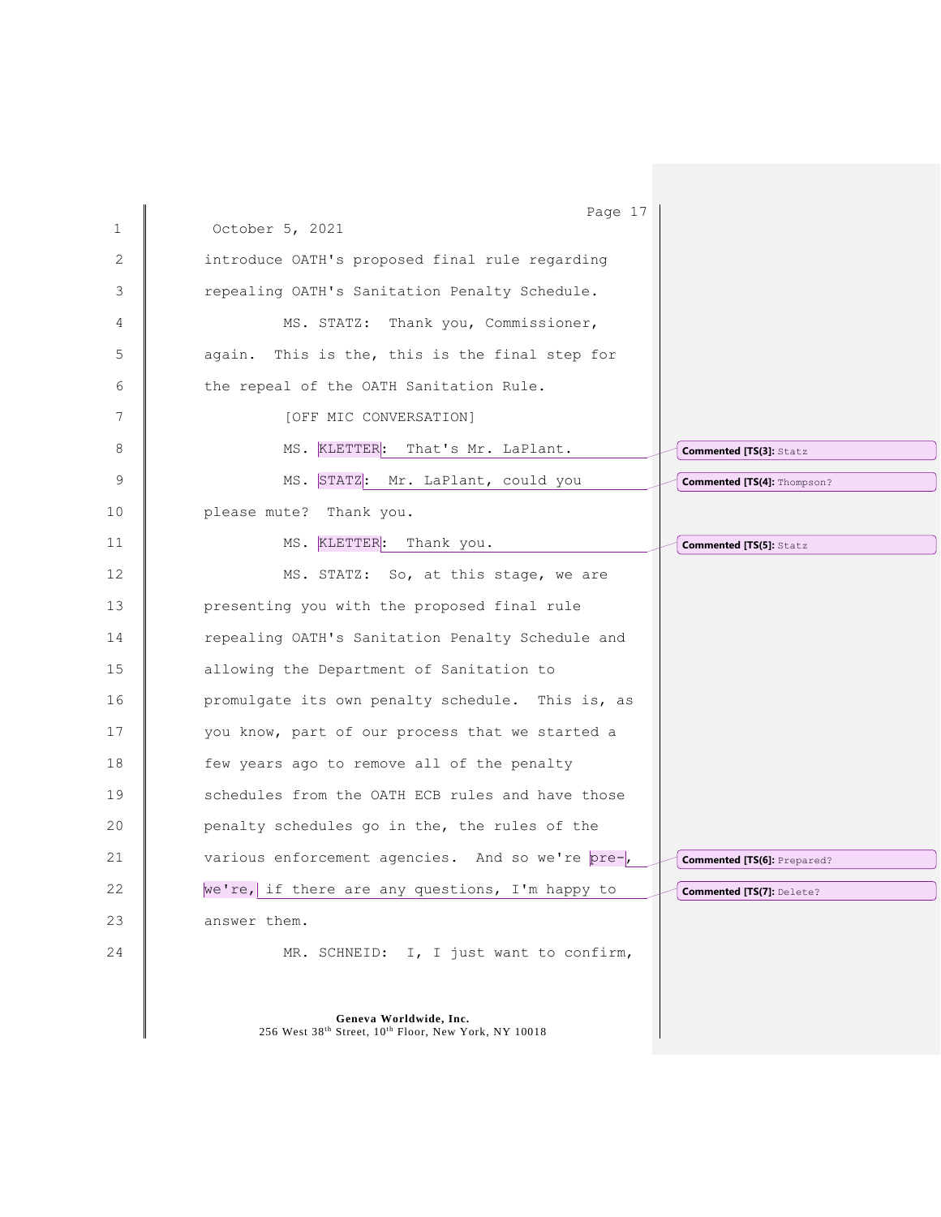| $\mathbf 1$ | Page 17<br>October 5, 2021                                                      |
|-------------|---------------------------------------------------------------------------------|
|             |                                                                                 |
| 2           | introduce OATH's proposed final rule regarding                                  |
| 3           | repealing OATH's Sanitation Penalty Schedule.                                   |
| 4           | MS. STATZ: Thank you, Commissioner,                                             |
| 5           | again. This is the, this is the final step for                                  |
| 6           | the repeal of the OATH Sanitation Rule.                                         |
| 7           | [OFF MIC CONVERSATION]                                                          |
| 8           | MS. KLETTER: That's Mr. LaPlant.<br><b>Commented [TS(3]: Statz</b>              |
| 9           | MS. STATZ: Mr. LaPlant, could you<br>Commented [TS(4]: Thompson?                |
| 10          | please mute? Thank you.                                                         |
| 11          | MS. KLETTER: Thank you.<br><b>Commented [TS(5]: Statz</b>                       |
| 12          | MS. STATZ: So, at this stage, we are                                            |
| 13          | presenting you with the proposed final rule                                     |
| 14          | repealing OATH's Sanitation Penalty Schedule and                                |
| 15          | allowing the Department of Sanitation to                                        |
| 16          | promulgate its own penalty schedule. This is, as                                |
| 17          | you know, part of our process that we started a                                 |
| 18          | few years ago to remove all of the penalty                                      |
| 19          | schedules from the OATH ECB rules and have those                                |
| 20          | penalty schedules go in the, the rules of the                                   |
| 21          | various enforcement agencies. And so we're pre-,<br>Commented [TS(6]: Prepared? |
| 22          | we're, if there are any questions, I'm happy to<br>Commented [TS(7]: Delete?    |
| 23          | answer them.                                                                    |
| 24          | MR. SCHNEID: I, I just want to confirm,                                         |
|             |                                                                                 |
|             | Geneva Worldwide, Inc.<br>256 West 38th Street, 10th Floor, New York, NY 10018  |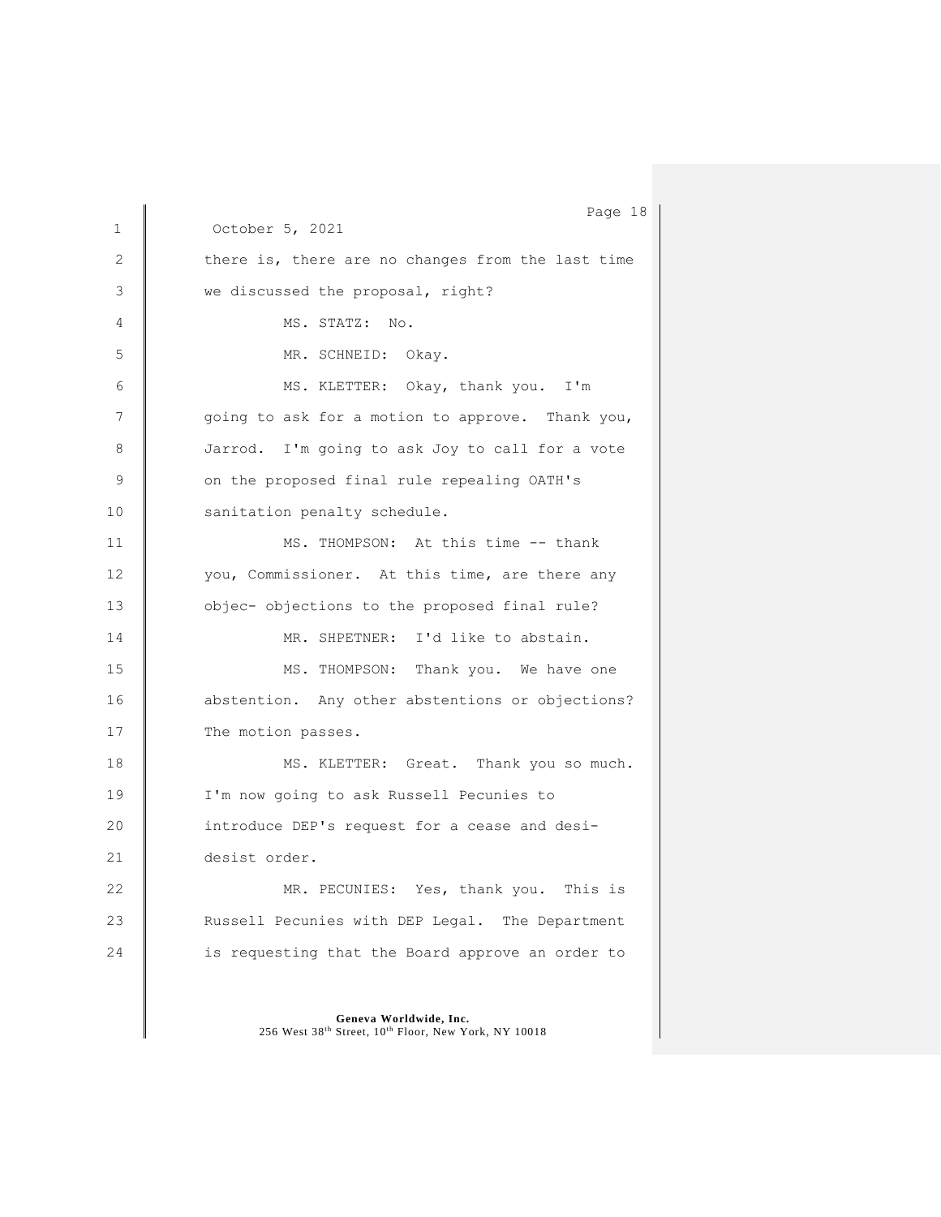1 October 5, 2021 2 there is, there are no changes from the last time 3 we discussed the proposal, right? 4 | MS. STATZ: No. 5 MR. SCHNEID: Okay. 6 | MS. KLETTER: Okay, thank you. I'm 7 | going to ask for a motion to approve. Thank you, 8 Jarrod. I'm going to ask Joy to call for a vote 9 on the proposed final rule repealing OATH's 10 | sanitation penalty schedule. 11 MS. THOMPSON: At this time -- thank 12 | vou, Commissioner. At this time, are there any 13 **b** objec- objections to the proposed final rule? 14 | MR. SHPETNER: I'd like to abstain. 15 MS. THOMPSON: Thank you. We have one 16 abstention. Any other abstentions or objections? 17 The motion passes. 18 Solution MS. KLETTER: Great. Thank you so much. 19 | I'm now going to ask Russell Pecunies to 20 **introduce DEP's request for a cease and desi-**21 desist order. 22 MR. PECUNIES: Yes, thank you. This is 23 **Russell Pecunies with DEP Legal.** The Department 24 is requesting that the Board approve an order to

> **Geneva Worldwide, Inc.** 256 West 38th Street, 10th Floor, New York, NY 10018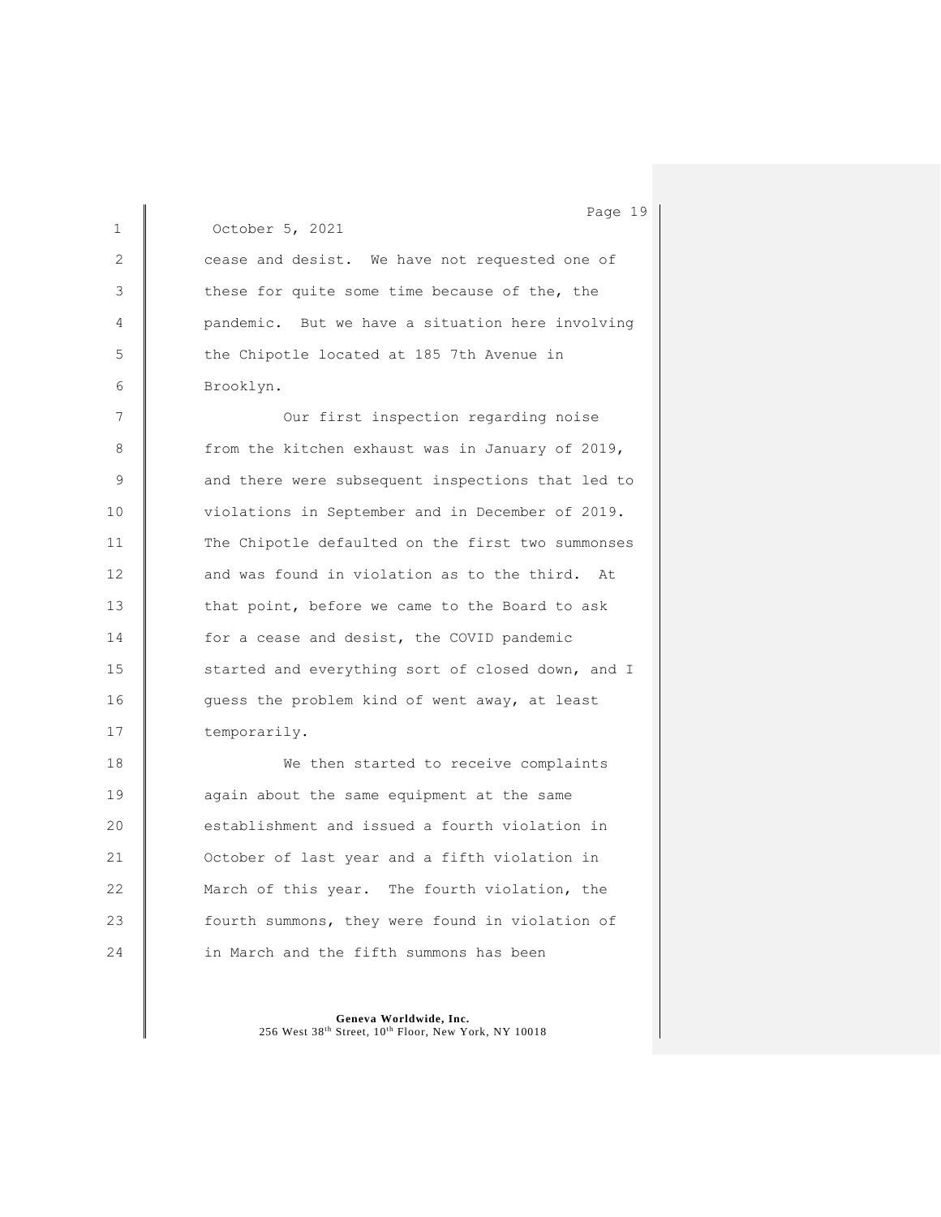Page 19 1 October 5, 2021 2 cease and desist. We have not requested one of 3 these for quite some time because of the, the 4 **Quandemic.** But we have a situation here involving 5 the Chipotle located at 185 7th Avenue in 6 Brooklyn. 7 | Our first inspection regarding noise 8 | from the kitchen exhaust was in January of 2019, 9 **and there were subsequent inspections that led to** 10 **violations in September and in December of 2019.** 11 The Chipotle defaulted on the first two summonses 12 and was found in violation as to the third. At 13 that point, before we came to the Board to ask 14 for a cease and desist, the COVID pandemic 15 started and everything sort of closed down, and I 16 guess the problem kind of went away, at least 17 temporarily. 18 We then started to receive complaints 19 **again** about the same equipment at the same 20 establishment and issued a fourth violation in 21 **October of last year and a fifth violation in** 22 March of this year. The fourth violation, the 23 **fourth summons, they were found in violation of** 24 **in March and the fifth summons has been**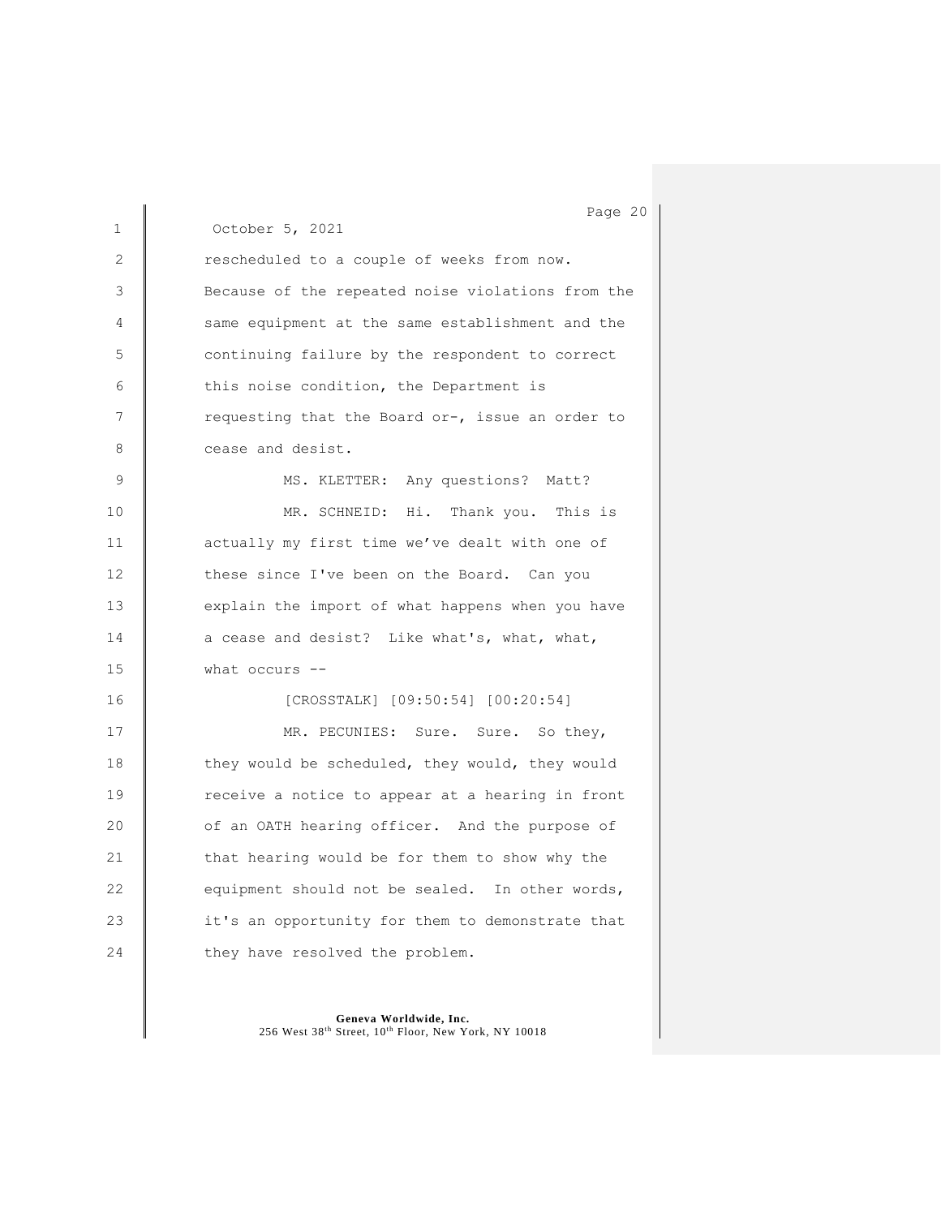1 October 5, 2021 2 **Exerch** rescheduled to a couple of weeks from now. 3 Because of the repeated noise violations from the 4 same equipment at the same establishment and the 5 continuing failure by the respondent to correct 6 this noise condition, the Department is 7 Tequesting that the Board or-, issue an order to 8 cease and desist. 9 | MS. KLETTER: Any questions? Matt? 10 MR. SCHNEID: Hi. Thank you. This is 11 **actually my first time we've dealt with one of** 12 these since I've been on the Board. Can you 13 explain the import of what happens when you have 14 a cease and desist? Like what's, what, what, 15 what occurs -- 16 [CROSSTALK] [09:50:54] [00:20:54] 17 MR. PECUNIES: Sure. Sure. So they, 18 they would be scheduled, they would, they would 19 The receive a notice to appear at a hearing in front 20 **of an OATH hearing officer.** And the purpose of 21 that hearing would be for them to show why the 22 equipment should not be sealed. In other words, 23 it's an opportunity for them to demonstrate that 24 they have resolved the problem.

> **Geneva Worldwide, Inc.** 256 West 38th Street, 10th Floor, New York, NY 10018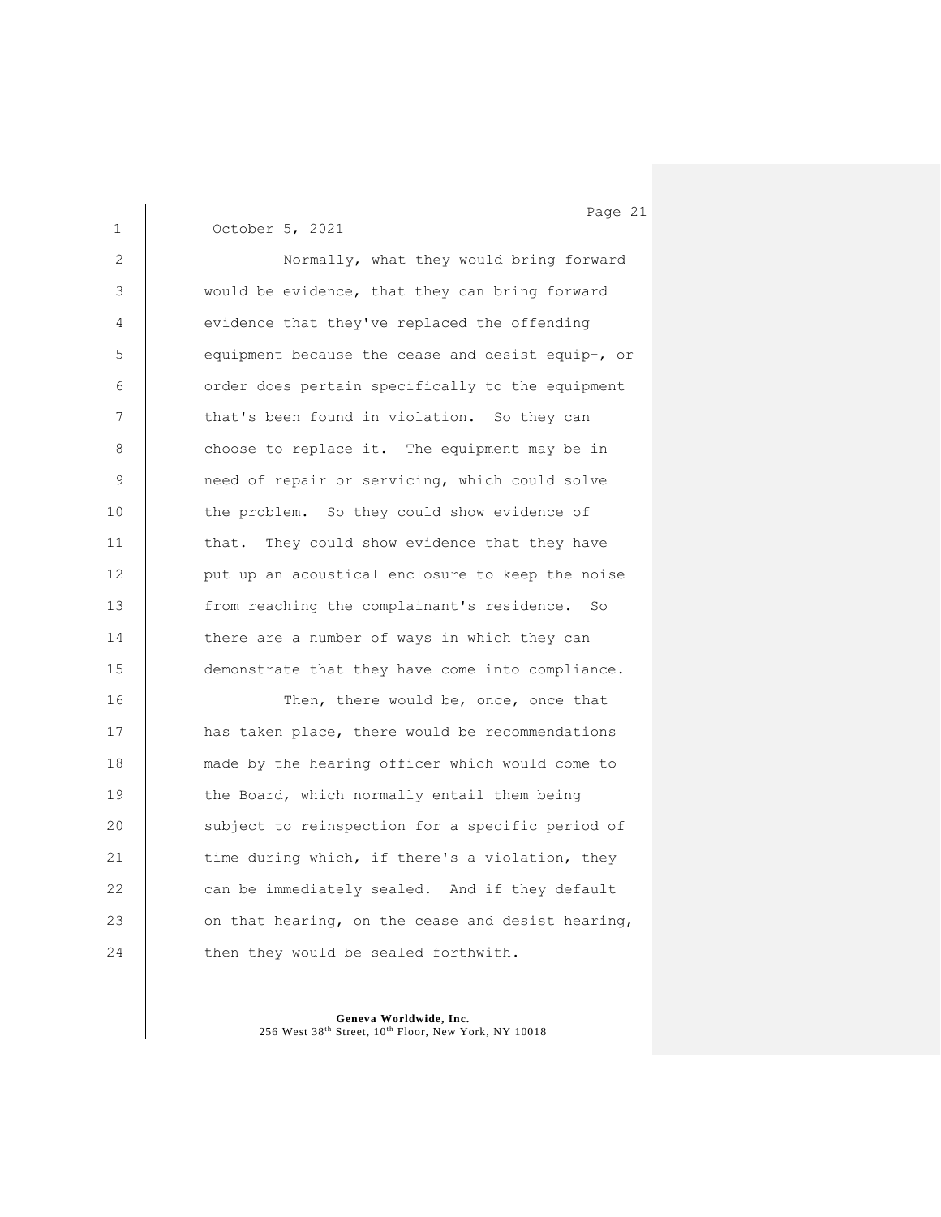1 October 5, 2021 2 Normally, what they would bring forward 3 **Would be evidence, that they can bring forward** 4 **we**vidence that they've replaced the offending 5 equipment because the cease and desist equip-, or 6 **o** order does pertain specifically to the equipment 7 that's been found in violation. So they can 8 choose to replace it. The equipment may be in 9 **need of repair or servicing, which could solve** 10 the problem. So they could show evidence of 11 that. They could show evidence that they have 12 **put up an acoustical enclosure to keep the noise** 13 from reaching the complainant's residence. So 14 there are a number of ways in which they can 15 demonstrate that they have come into compliance. 16 Then, there would be, once, once that

17 **has taken place, there would be recommendations** 18 made by the hearing officer which would come to 19 the Board, which normally entail them being 20 Subject to reinspection for a specific period of 21 time during which, if there's a violation, they 22 can be immediately sealed. And if they default 23  $\parallel$  on that hearing, on the cease and desist hearing, 24  $\parallel$  then they would be sealed forthwith.

> **Geneva Worldwide, Inc.** 256 West 38th Street, 10th Floor, New York, NY 10018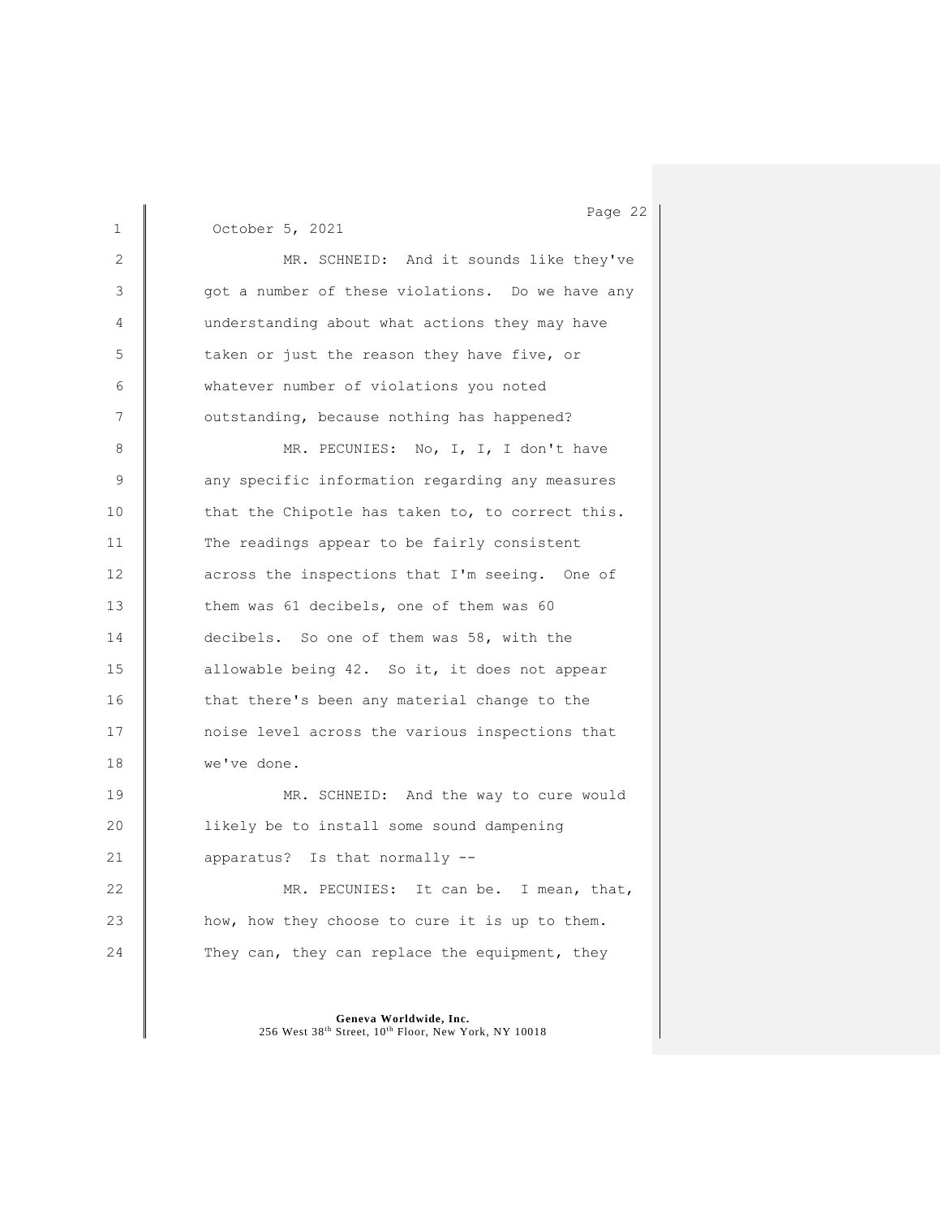1 October 5, 2021 2 MR. SCHNEID: And it sounds like they've 3 got a number of these violations. Do we have any 4 understanding about what actions they may have 5 taken or just the reason they have five, or 6 whatever number of violations you noted 7 **July 20** outstanding, because nothing has happened? 8 MR. PECUNIES: No, I, I, I don't have 9 any specific information regarding any measures 10 that the Chipotle has taken to, to correct this. 11 The readings appear to be fairly consistent 12 **across** the inspections that I'm seeing. One of 13 them was 61 decibels, one of them was 60 14 decibels. So one of them was 58, with the 15 allowable being 42. So it, it does not appear 16 that there's been any material change to the 17 **noise level across the various inspections that** 18 **we've done.** 19 **MR.** SCHNEID: And the way to cure would 20 **l** likely be to install some sound dampening 21 **apparatus?** Is that normally --22 MR. PECUNIES: It can be. I mean, that, 23 how, how they choose to cure it is up to them. 24 They can, they can replace the equipment, they

> **Geneva Worldwide, Inc.** 256 West 38th Street, 10th Floor, New York, NY 10018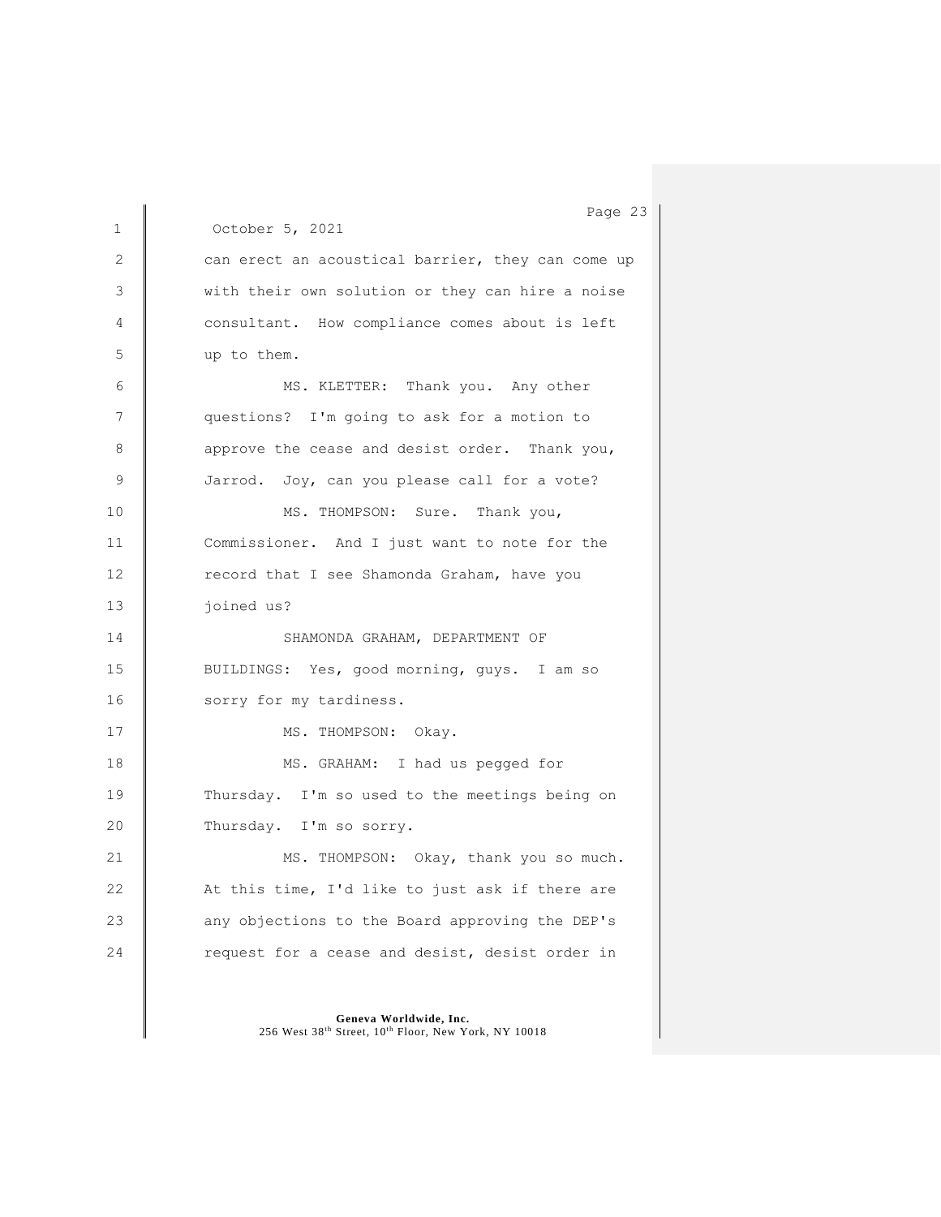1 October 5, 2021 2 can erect an acoustical barrier, they can come up 3 with their own solution or they can hire a noise 4 consultant. How compliance comes about is left 5 up to them. 6 | MS. KLETTER: Thank you. Any other 7 questions? I'm going to ask for a motion to 8 approve the cease and desist order. Thank you, 9 Jarrod. Joy, can you please call for a vote? 10 | MS. THOMPSON: Sure. Thank you, 11 Commissioner. And I just want to note for the 12 **Fig.** record that I see Shamonda Graham, have you 13 | joined us? 14 | SHAMONDA GRAHAM, DEPARTMENT OF 15 | BUILDINGS: Yes, good morning, guys. I am so 16 | sorry for my tardiness. 17 | MS. THOMPSON: Okay. 18 | MS. GRAHAM: I had us pegged for 19 Thursday. I'm so used to the meetings being on 20 Thursday. I'm so sorry. 21 | MS. THOMPSON: Okay, thank you so much. 22 | At this time, I'd like to just ask if there are 23 **any objections to the Board approving the DEP's** 24 **P** request for a cease and desist, desist order in

> **Geneva Worldwide, Inc.** 256 West 38th Street, 10th Floor, New York, NY 10018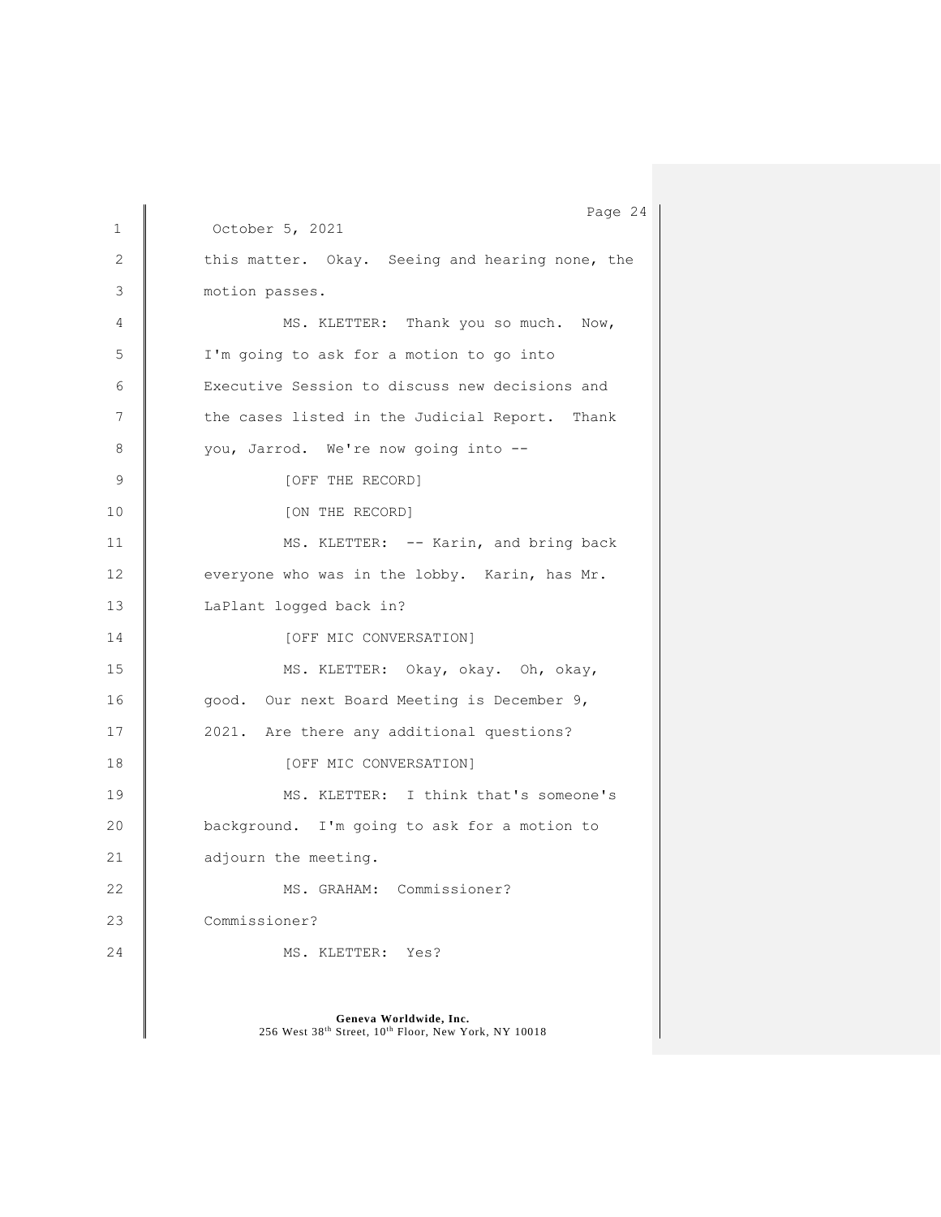Page 24 1 October 5, 2021 **Geneva Worldwide, Inc.** 2 this matter. Okay. Seeing and hearing none, the 3 motion passes. 4 | MS. KLETTER: Thank you so much. Now, 5 I'm going to ask for a motion to go into 6 Executive Session to discuss new decisions and 7 the cases listed in the Judicial Report. Thank 8 you, Jarrod. We're now going into --9 COFF THE RECORD] 10 | [ON THE RECORD] 11 MS. KLETTER: -- Karin, and bring back 12 veveryone who was in the lobby. Karin, has Mr. 13 | LaPlant logged back in? 14 CONVERSATION] 15 | MS. KLETTER: Okay, okay. Oh, okay, 16 good. Our next Board Meeting is December 9, 17 | 2021. Are there any additional questions? 18 CONVERSATION 19 | MS. KLETTER: I think that's someone's 20 **background.** I'm going to ask for a motion to 21 adjourn the meeting. 22 MS. GRAHAM: Commissioner? 23 Commissioner? 24 MS. KLETTER: Yes?

256 West 38th Street, 10th Floor, New York, NY 10018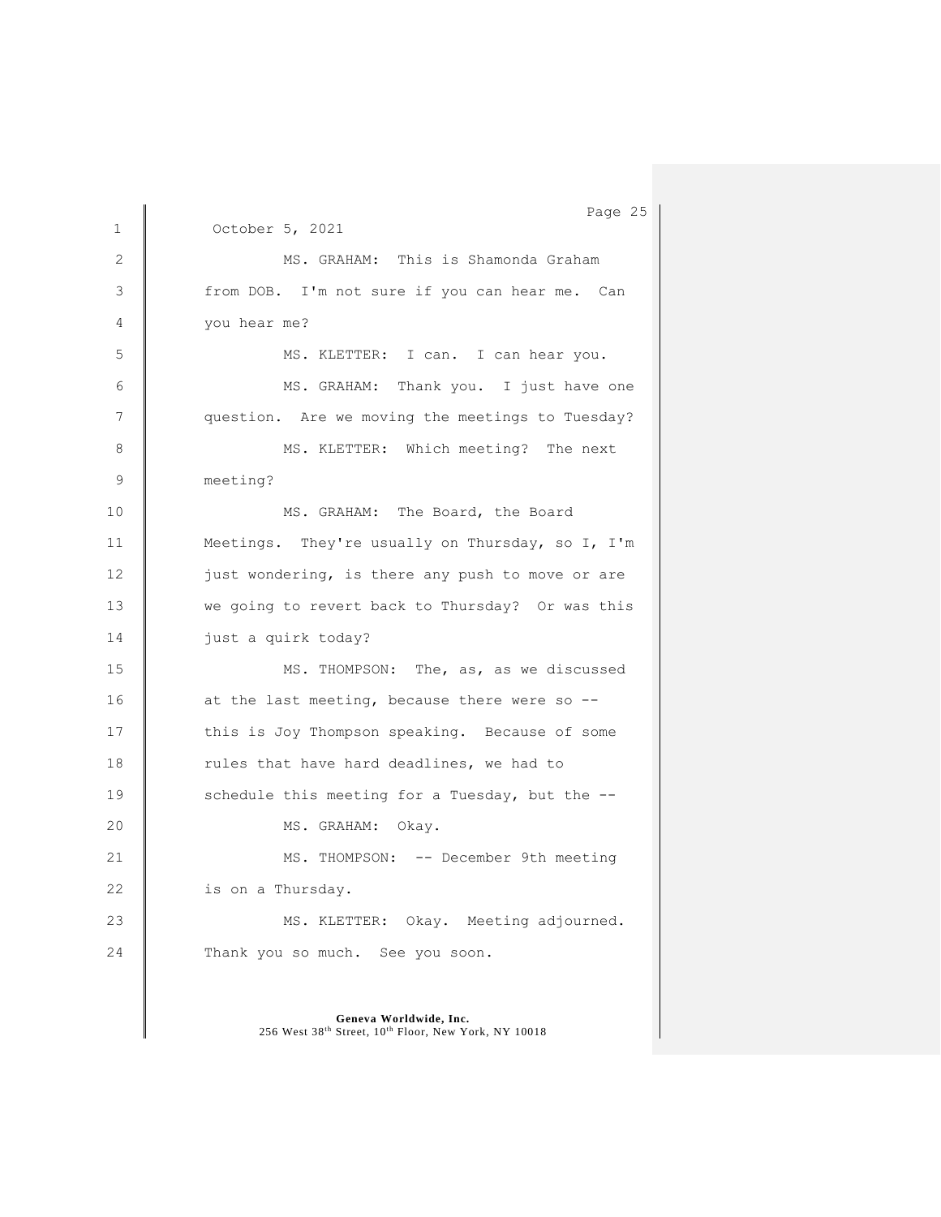Page 25 1 October 5, 2021 2 MS. GRAHAM: This is Shamonda Graham 3 from DOB. I'm not sure if you can hear me. Can 4 you hear me? 5 | MS. KLETTER: I can. I can hear you. 6 | MS. GRAHAM: Thank you. I just have one 7 **question.** Are we moving the meetings to Tuesday? 8 | MS. KLETTER: Which meeting? The next 9 meeting? 10 MS. GRAHAM: The Board, the Board 11 | Meetings. They're usually on Thursday, so I, I'm 12 just wondering, is there any push to move or are 13 we going to revert back to Thursday? Or was this 14 | just a quirk today? 15 MS. THOMPSON: The, as, as we discussed 16 at the last meeting, because there were so --17 this is Joy Thompson speaking. Because of some 18 Tules that have hard deadlines, we had to 19 Schedule this meeting for a Tuesday, but the --20 MS. GRAHAM: Okay. 21 MS. THOMPSON: -- December 9th meeting 22 is on a Thursday. 23 | MS. KLETTER: Okay. Meeting adjourned. 24 Thank you so much. See you soon.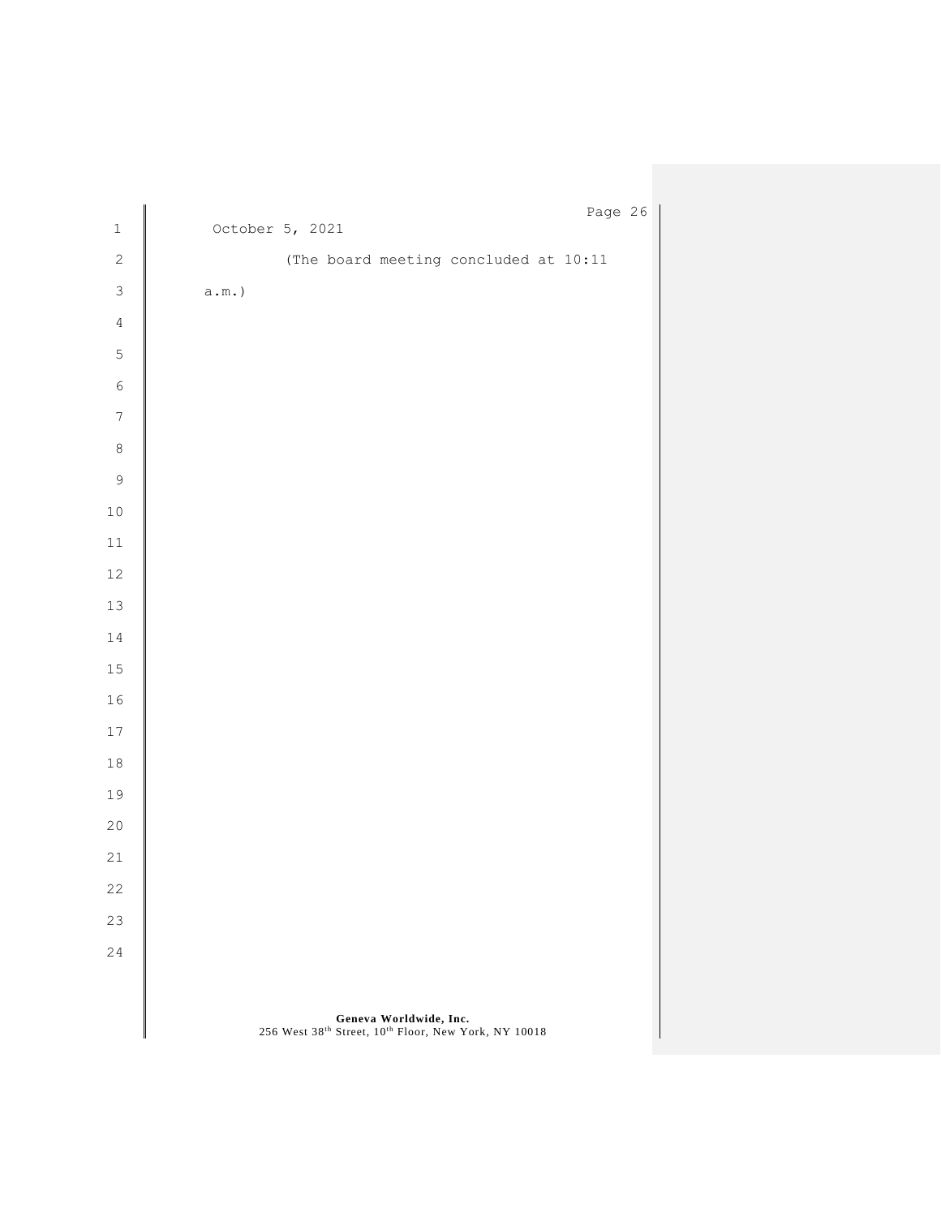|                  |                  |  |                                                                                | Page 26 |  |
|------------------|------------------|--|--------------------------------------------------------------------------------|---------|--|
| $\mathbf 1$      | October 5, 2021  |  |                                                                                |         |  |
| $\sqrt{2}$       |                  |  | (The board meeting concluded at 10:11                                          |         |  |
| $\mathsf 3$      | $\texttt{a.m.})$ |  |                                                                                |         |  |
| $\sqrt{4}$       |                  |  |                                                                                |         |  |
| $\mathsf S$      |                  |  |                                                                                |         |  |
| $\epsilon$       |                  |  |                                                                                |         |  |
| $\boldsymbol{7}$ |                  |  |                                                                                |         |  |
| $\,8\,$          |                  |  |                                                                                |         |  |
| $\overline{9}$   |                  |  |                                                                                |         |  |
| $1\,0$           |                  |  |                                                                                |         |  |
| $11\,$           |                  |  |                                                                                |         |  |
| $12\,$           |                  |  |                                                                                |         |  |
| $13\,$           |                  |  |                                                                                |         |  |
| $1\,4$           |                  |  |                                                                                |         |  |
| $15\,$           |                  |  |                                                                                |         |  |
| $1\,6$           |                  |  |                                                                                |         |  |
| $17$             |                  |  |                                                                                |         |  |
| $1\,8$           |                  |  |                                                                                |         |  |
| 19               |                  |  |                                                                                |         |  |
| $20$             |                  |  |                                                                                |         |  |
| $21\,$           |                  |  |                                                                                |         |  |
| 22               |                  |  |                                                                                |         |  |
| 23               |                  |  |                                                                                |         |  |
| 24               |                  |  |                                                                                |         |  |
|                  |                  |  |                                                                                |         |  |
|                  |                  |  | Geneva Worldwide, Inc.<br>256 West 38th Street, 10th Floor, New York, NY 10018 |         |  |